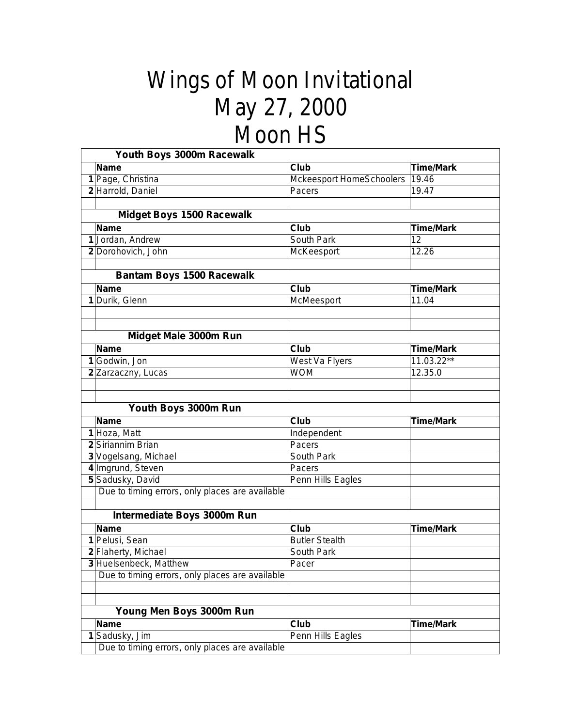## Wings of Moon Invitational May 27, 2000 Moon HS

|   | Youth Boys 3000m Racewalk                       |                                 |                  |
|---|-------------------------------------------------|---------------------------------|------------------|
|   | <b>Name</b>                                     | Club                            | <b>Time/Mark</b> |
|   | 1 Page, Christina                               | <b>Mckeesport HomeSchoolers</b> | 19.46            |
|   | 2 Harrold, Daniel                               | Pacers                          | 19.47            |
|   | <b>Midget Boys 1500 Racewalk</b>                |                                 |                  |
|   | <b>Name</b>                                     | Club                            | <b>Time/Mark</b> |
|   | 1 Jordan, Andrew                                | South Park                      | 12               |
|   | 2 Dorohovich, John                              | McKeesport                      | 12.26            |
|   |                                                 |                                 |                  |
|   | <b>Bantam Boys 1500 Racewalk</b>                |                                 |                  |
|   | <b>Name</b>                                     | Club                            | <b>Time/Mark</b> |
|   | 1 Durik, Glenn                                  | McMeesport                      | 11.04            |
|   |                                                 |                                 |                  |
|   | Midget Male 3000m Run                           |                                 |                  |
|   | <b>Name</b>                                     | Club                            | <b>Time/Mark</b> |
|   | 1 Godwin, Jon                                   | West Va Flyers                  | 11.03.22**       |
|   | 2 Zarzaczny, Lucas                              | <b>WOM</b>                      | 12.35.0          |
|   |                                                 |                                 |                  |
|   | Youth Boys 3000m Run                            |                                 |                  |
|   | <b>Name</b>                                     | <b>Club</b>                     | <b>Time/Mark</b> |
|   | 1 Hoza, Matt                                    | Independent                     |                  |
|   | 2 Siriannim Brian                               | Pacers                          |                  |
|   | 3 Vogelsang, Michael                            | South Park                      |                  |
|   | 4 Imgrund, Steven                               | Pacers                          |                  |
|   | 5 Sadusky, David                                | Penn Hills Eagles               |                  |
|   | Due to timing errors, only places are available |                                 |                  |
|   | Intermediate Boys 3000m Run                     |                                 |                  |
|   | <b>Name</b>                                     | Club                            | <b>Time/Mark</b> |
|   | 1 Pelusi, Sean                                  | <b>Butler Stealth</b>           |                  |
|   | 2 Flaherty, Michael                             | South Park                      |                  |
|   | 3 Huelsenbeck, Matthew                          | Pacer                           |                  |
|   | Due to timing errors, only places are available |                                 |                  |
|   |                                                 |                                 |                  |
|   | Young Men Boys 3000m Run                        |                                 |                  |
|   | <b>Name</b>                                     | Club                            | <b>Time/Mark</b> |
| 1 | Sadusky, Jim                                    |                                 |                  |
|   | Due to timing errors, only places are available | Penn Hills Eagles               |                  |
|   |                                                 |                                 |                  |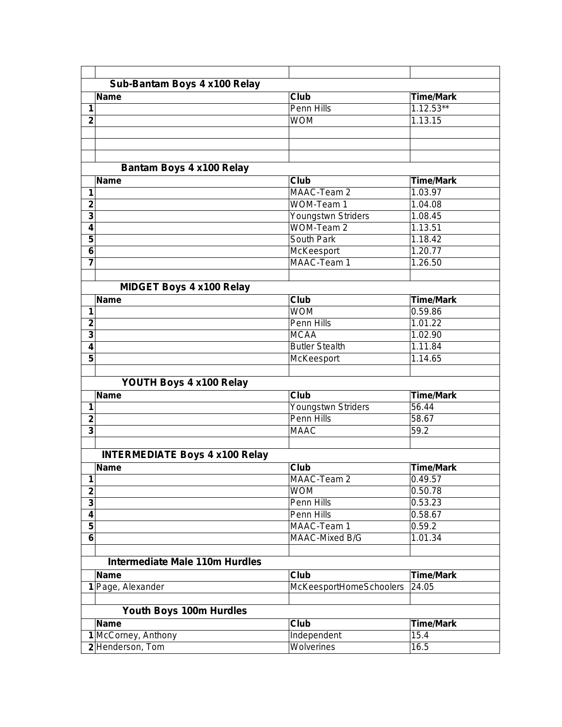|                              | Sub-Bantam Boys 4 x100 Relay          |                           |                             |  |  |  |
|------------------------------|---------------------------------------|---------------------------|-----------------------------|--|--|--|
|                              | <b>Name</b>                           | Club                      | <b>Time/Mark</b>            |  |  |  |
| 1                            |                                       | Penn Hills                | $1.12.53**$                 |  |  |  |
| $\overline{2}$               |                                       | <b>WOM</b>                | 1.13.15                     |  |  |  |
|                              |                                       |                           |                             |  |  |  |
|                              |                                       |                           |                             |  |  |  |
|                              | Bantam Boys 4 x100 Relay              |                           |                             |  |  |  |
|                              | <b>Name</b>                           | $\overline{\text{Cl}}$ ub | <b>Time/Mark</b>            |  |  |  |
| 1                            |                                       | MAAC-Team 2               | 1.03.97                     |  |  |  |
| $\overline{\mathbf{2}}$      |                                       | WOM-Team 1                | 1.04.08                     |  |  |  |
| $\overline{\mathbf{3}}$      |                                       | Youngstwn Striders        | 1.08.45                     |  |  |  |
| 4                            |                                       | WOM-Team 2                | 1.13.51                     |  |  |  |
| 5                            |                                       | South Park                | 1.18.42                     |  |  |  |
| 6                            |                                       | McKeesport                | 1.20.77                     |  |  |  |
| $\overline{7}$               |                                       | MAAC-Team 1               | 1.26.50                     |  |  |  |
|                              |                                       |                           |                             |  |  |  |
|                              | <b>MIDGET Boys 4 x100 Relay</b>       |                           |                             |  |  |  |
|                              | <b>Name</b>                           | Club                      | <b>Time/Mark</b>            |  |  |  |
| 1                            |                                       | <b>WOM</b>                | 0.59.86                     |  |  |  |
| $\overline{2}$               |                                       | <b>Penn Hills</b>         | 1.01.22                     |  |  |  |
| 3                            |                                       | <b>MCAA</b>               | 1.02.90                     |  |  |  |
| 4                            |                                       | <b>Butler Stealth</b>     | 1.11.84                     |  |  |  |
| $\overline{\mathbf{5}}$      |                                       | McKeesport                | 1.14.65                     |  |  |  |
|                              |                                       |                           |                             |  |  |  |
|                              | YOUTH Boys 4 x100 Relay               |                           |                             |  |  |  |
|                              | <b>Name</b>                           | <b>Club</b>               | <b>Time/Mark</b>            |  |  |  |
| 1                            |                                       | Youngstwn Striders        | 56.44                       |  |  |  |
| $\overline{2}$               |                                       | <b>Penn Hills</b>         | 58.67                       |  |  |  |
| $\overline{\mathbf{3}}$      |                                       | <b>MAAC</b>               | 59.2                        |  |  |  |
|                              |                                       |                           |                             |  |  |  |
|                              | <b>INTERMEDIATE Boys 4 x100 Relay</b> |                           |                             |  |  |  |
|                              |                                       |                           |                             |  |  |  |
|                              | <b>Name</b>                           | Club<br>MAAC-Team 2       | <b>Time/Mark</b><br>0.49.57 |  |  |  |
| 1<br>$\overline{\mathbf{2}}$ |                                       | <b>WOM</b>                | 0.50.78                     |  |  |  |
| 3                            |                                       | Penn Hills                | 0.53.23                     |  |  |  |
| $\overline{\mathbf{4}}$      |                                       | Penn Hills                | 0.58.67                     |  |  |  |
| 5                            |                                       | MAAC-Team 1               | 0.59.2                      |  |  |  |
| 6                            |                                       | MAAC-Mixed B/G            | 1.01.34                     |  |  |  |
|                              |                                       |                           |                             |  |  |  |
|                              | <b>Intermediate Male 110m Hurdles</b> |                           |                             |  |  |  |
|                              | <b>Name</b>                           | Club                      | <b>Time/Mark</b>            |  |  |  |
|                              | 1 Page, Alexander                     | McKeesportHomeSchoolers   | 24.05                       |  |  |  |
|                              |                                       |                           |                             |  |  |  |
|                              | Youth Boys 100m Hurdles               |                           |                             |  |  |  |
|                              | <b>Name</b>                           | Club                      | <b>Time/Mark</b>            |  |  |  |
|                              | 1 McCorney, Anthony                   | Independent               | 15.4                        |  |  |  |
|                              | 2 Henderson, Tom                      | Wolverines                | 16.5                        |  |  |  |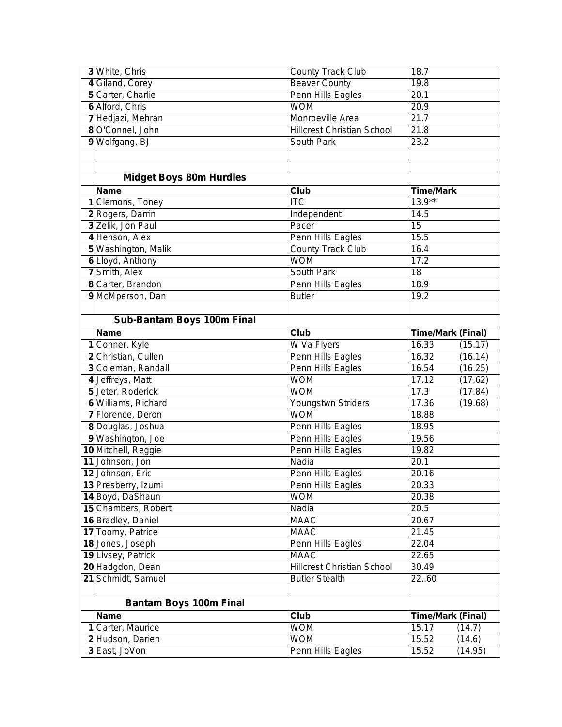| 3 White, Chris                    | <b>County Track Club</b>          | 18.7                     |         |
|-----------------------------------|-----------------------------------|--------------------------|---------|
| 4 Giland, Corey                   | <b>Beaver County</b>              | 19.8                     |         |
| 5 Carter, Charlie                 | Penn Hills Eagles                 | 20.1                     |         |
| 6 Alford, Chris                   | <b>WOM</b>                        | 20.9                     |         |
| 7 Hedjazi, Mehran                 | Monroeville Area                  | 21.7                     |         |
| 8 O'Connel, John                  | <b>Hillcrest Christian School</b> | 21.8                     |         |
| 9 Wolfgang, BJ                    | South Park                        | 23.2                     |         |
|                                   |                                   |                          |         |
|                                   |                                   |                          |         |
| <b>Midget Boys 80m Hurdles</b>    |                                   |                          |         |
| <b>Name</b>                       | Club                              | <b>Time/Mark</b>         |         |
| 1 Clemons, Toney                  | <b>ITC</b>                        | $13.9**$                 |         |
| 2 Rogers, Darrin                  | Independent                       | 14.5                     |         |
| 3 Zelik, Jon Paul                 | Pacer                             | 15                       |         |
| 4 Henson, Alex                    | Penn Hills Eagles                 | 15.5                     |         |
| 5 Washington, Malik               | <b>County Track Club</b>          | 16.4                     |         |
| 6 Lloyd, Anthony                  | <b>WOM</b>                        | 17.2                     |         |
| 7 Smith, Alex                     | South Park                        | $\overline{18}$          |         |
| 8 Carter, Brandon                 | Penn Hills Eagles                 | 18.9                     |         |
| 9 McMperson, Dan                  | <b>Butler</b>                     | 19.2                     |         |
|                                   |                                   |                          |         |
| <b>Sub-Bantam Boys 100m Final</b> |                                   |                          |         |
| <b>Name</b>                       | Club                              | <b>Time/Mark (Final)</b> |         |
| 1 Conner, Kyle                    | W Va Flyers                       | 16.33                    | (15.17) |
| 2 Christian, Cullen               | Penn Hills Eagles                 | 16.32                    | (16.14) |
| 3 Coleman, Randall                | Penn Hills Eagles                 | 16.54                    | (16.25) |
| 4 Jeffreys, Matt                  | <b>WOM</b>                        | 17.12                    | (17.62) |
| 5 Jeter, Roderick                 | <b>WOM</b>                        | 17.3                     | (17.84) |
| 6 Williams, Richard               | Youngstwn Striders                | 17.36                    | (19.68) |
| 7 Florence, Deron                 | <b>WOM</b>                        | 18.88                    |         |
| 8 Douglas, Joshua                 | Penn Hills Eagles                 | 18.95                    |         |
| 9 Washington, Joe                 | Penn Hills Eagles                 | 19.56                    |         |
| 10 Mitchell, Reggie               | Penn Hills Eagles                 | 19.82                    |         |
| 11 Johnson, Jon                   | Nadia                             | 20.1                     |         |
| 12 Johnson, Eric                  | Penn Hills Eagles                 | 20.16                    |         |
| 13 Presberry, Izumi               | Penn Hills Eagles                 | 20.33                    |         |
| 14 Boyd, DaShaun                  | <b>WOM</b>                        | 20.38                    |         |
| 15 Chambers, Robert               | Nadia                             | 20.5                     |         |
| 16 Bradley, Daniel                | <b>MAAC</b>                       | 20.67                    |         |
| 17 Toomy, Patrice                 | <b>MAAC</b>                       | 21.45                    |         |
| 18 Jones, Joseph                  | Penn Hills Eagles                 | 22.04                    |         |
| 19 Livsey, Patrick                | <b>MAAC</b>                       | 22.65                    |         |
| 20 Hadgdon, Dean                  | <b>Hillcrest Christian School</b> | 30.49                    |         |
| 21 Schmidt, Samuel                | <b>Butler Stealth</b>             | 2260                     |         |
| <b>Bantam Boys 100m Final</b>     |                                   |                          |         |
| <b>Name</b>                       | Club                              | <b>Time/Mark (Final)</b> |         |
| 1 Carter, Maurice                 | <b>WOM</b>                        | 15.17                    | (14.7)  |
| 2 Hudson, Darien                  | <b>WOM</b>                        | 15.52                    | (14.6)  |
| 3 East, JoVon                     | Penn Hills Eagles                 | 15.52                    | (14.95) |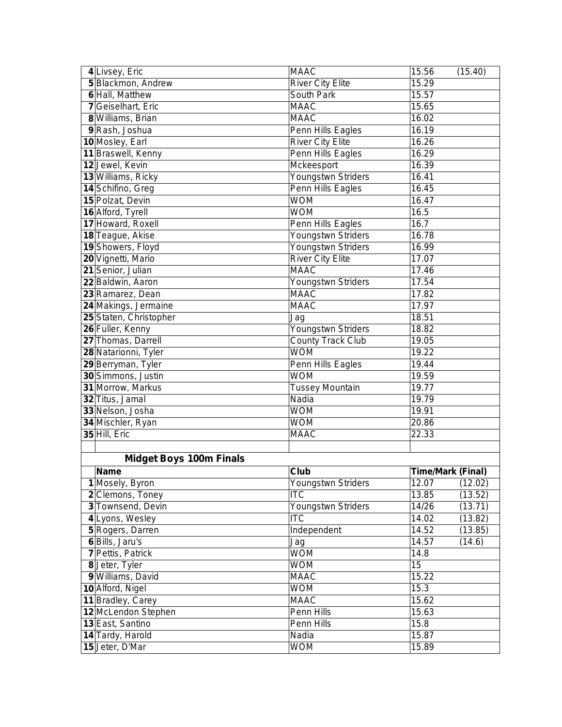| 4 Livsey, Eric                 | <b>MAAC</b>              | 15.56                    | (15.40) |
|--------------------------------|--------------------------|--------------------------|---------|
| 5 Blackmon, Andrew             | <b>River City Elite</b>  | 15.29                    |         |
| 6 Hall, Matthew                | <b>South Park</b>        | 15.57                    |         |
| 7 Geiselhart, Eric             | <b>MAAC</b>              | 15.65                    |         |
| 8 Williams, Brian              | <b>MAAC</b>              | 16.02                    |         |
| 9 Rash, Joshua                 | Penn Hills Eagles        | 16.19                    |         |
| 10 Mosley, Earl                | <b>River City Elite</b>  | 16.26                    |         |
| 11 Braswell, Kenny             | Penn Hills Eagles        | 16.29                    |         |
| 12 Jewel, Kevin                | Mckeesport               | 16.39                    |         |
| 13 Williams, Ricky             | Youngstwn Striders       | 16.41                    |         |
| 14 Schifino, Greg              | Penn Hills Eagles        | 16.45                    |         |
| 15 Polzat, Devin               | <b>WOM</b>               | 16.47                    |         |
| 16 Alford, Tyrell              | <b>WOM</b>               | 16.5                     |         |
| 17 Howard, Roxell              | Penn Hills Eagles        | 16.7                     |         |
| 18 Teague, Akise               | Youngstwn Striders       | 16.78                    |         |
| 19 Showers, Floyd              | Youngstwn Striders       | 16.99                    |         |
| 20 Vignetti, Mario             | <b>River City Elite</b>  | 17.07                    |         |
| 21 Senior, Julian              | <b>MAAC</b>              | 17.46                    |         |
| 22 Baldwin, Aaron              | Youngstwn Striders       | 17.54                    |         |
| 23 Ramarez, Dean               | <b>MAAC</b>              | 17.82                    |         |
| 24 Makings, Jermaine           | <b>MAAC</b>              | 17.97                    |         |
| 25 Staten, Christopher         | Jag                      | 18.51                    |         |
| 26 Fuller, Kenny               | Youngstwn Striders       | 18.82                    |         |
| 27 Thomas, Darrell             | <b>County Track Club</b> | 19.05                    |         |
| 28 Natarionni, Tyler           | <b>WOM</b>               | 19.22                    |         |
| 29 Berryman, Tyler             | Penn Hills Eagles        | 19.44                    |         |
| 30 Simmons, Justin             | <b>WOM</b>               | 19.59                    |         |
| 31 Morrow, Markus              | <b>Tussey Mountain</b>   | 19.77                    |         |
| 32 Titus, Jamal                | Nadia                    | 19.79                    |         |
| 33 Nelson, Josha               | <b>WOM</b>               | 19.91                    |         |
| 34 Mischler, Ryan              | <b>WOM</b>               | 20.86                    |         |
| 35 Hill, Eric                  | <b>MAAC</b>              | 22.33                    |         |
|                                |                          |                          |         |
| <b>Midget Boys 100m Finals</b> |                          |                          |         |
| <b>Name</b>                    | Club                     | <b>Time/Mark (Final)</b> |         |
| 1 Mosely, Byron                | Youngstwn Striders       | 12.07                    | (12.02) |
| 2 Clemons, Toney               | $\overline{\text{ITC}}$  | 13.85                    | (13.52) |
| 3 Townsend, Devin              | Youngstwn Striders       | 14/26                    | (13.71) |
| 4 Lyons, Wesley                | <b>ITC</b>               | 14.02                    | (13.82) |
| 5 Rogers, Darren               | Independent              | 14.52                    | (13.85) |
| 6 Bills, Jaru's                | Jag                      | 14.57                    | (14.6)  |
| 7 Pettis, Patrick              | <b>WOM</b>               | 14.8                     |         |
| 8 Jeter, Tyler                 | <b>WOM</b>               | 15                       |         |
| 9 Williams, David              | <b>MAAC</b>              | 15.22                    |         |
| 10 Alford, Nigel               | <b>WOM</b>               | 15.3                     |         |
| 11 Bradley, Carey              | <b>MAAC</b>              | 15.62                    |         |
| 12 McLendon Stephen            | Penn Hills               | 15.63                    |         |
| 13 East, Santino               | Penn Hills               | 15.8                     |         |
| 14 Tardy, Harold               | Nadia                    | 15.87                    |         |
| 15 Jeter, D'Mar                | <b>WOM</b>               | 15.89                    |         |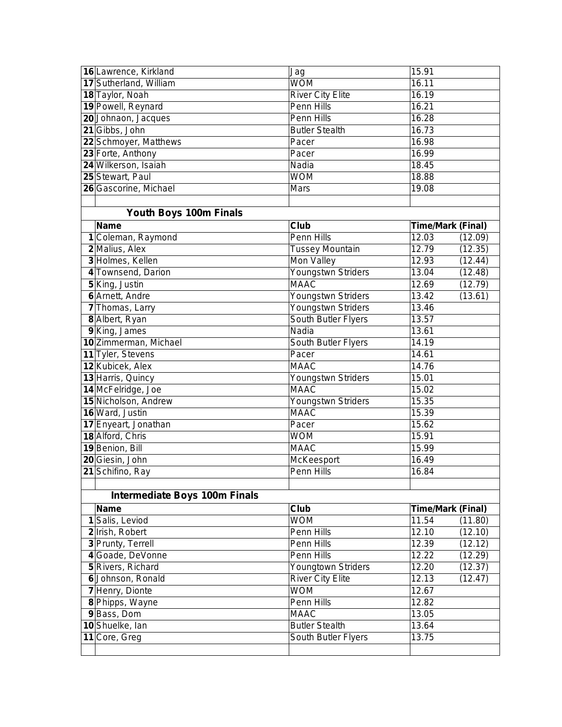| 16 Lawrence, Kirkland                | Jag                     | 15.91             |         |
|--------------------------------------|-------------------------|-------------------|---------|
| 17 Sutherland, William               | <b>WOM</b>              | 16.11             |         |
| 18 Taylor, Noah                      | <b>River City Elite</b> | 16.19             |         |
| 19 Powell, Reynard                   | Penn Hills              | 16.21             |         |
| 20 Johnaon, Jacques                  | Penn Hills              | 16.28             |         |
| 21 Gibbs, John                       | <b>Butler Stealth</b>   | 16.73             |         |
| 22 Schmoyer, Matthews                | Pacer                   | 16.98             |         |
| 23 Forte, Anthony                    | Pacer                   | 16.99             |         |
| 24 Wilkerson, Isaiah                 | Nadia                   | 18.45             |         |
| 25 Stewart, Paul                     | <b>WOM</b>              | 18.88             |         |
| 26 Gascorine, Michael                | Mars                    | 19.08             |         |
|                                      |                         |                   |         |
| Youth Boys 100m Finals               |                         |                   |         |
| <b>Name</b>                          | Club                    | Time/Mark (Final) |         |
| 1 Coleman, Raymond                   | Penn Hills              | 12.03             | (12.09) |
| 2 Malius, Alex                       | <b>Tussey Mountain</b>  | 12.79             | (12.35) |
| 3 Holmes, Kellen                     | Mon Valley              | 12.93             | (12.44) |
| 4 Townsend, Darion                   | Youngstwn Striders      | 13.04             | (12.48) |
| 5 King, Justin                       | <b>MAAC</b>             | 12.69             | (12.79) |
| 6 Arnett, Andre                      | Youngstwn Striders      | 13.42             | (13.61) |
| 7 Thomas, Larry                      | Youngstwn Striders      | 13.46             |         |
| 8 Albert, Ryan                       | South Butler Flyers     | 13.57             |         |
| 9 King, James                        | Nadia                   | 13.61             |         |
| 10 Zimmerman, Michael                | South Butler Flyers     | 14.19             |         |
| 11 Tyler, Stevens                    | Pacer                   | 14.61             |         |
| 12 Kubicek, Alex                     | <b>MAAC</b>             | 14.76             |         |
| 13 Harris, Quincy                    | Youngstwn Striders      | 15.01             |         |
| 14 McFelridge, Joe                   | <b>MAAC</b>             | 15.02             |         |
| 15 Nicholson, Andrew                 | Youngstwn Striders      | 15.35             |         |
| 16 Ward, Justin                      | <b>MAAC</b>             | 15.39             |         |
| 17 Enyeart, Jonathan                 | Pacer                   | 15.62             |         |
| 18 Alford, Chris                     | <b>WOM</b>              | 15.91             |         |
| 19 Benion, Bill                      | <b>MAAC</b>             | 15.99             |         |
| 20 Giesin, John                      | McKeesport              | 16.49             |         |
| 21 Schifino, Ray                     | Penn Hills              | 16.84             |         |
|                                      |                         |                   |         |
| <b>Intermediate Boys 100m Finals</b> |                         |                   |         |
| <b>Name</b>                          | Club                    | Time/Mark (Final) |         |
| 1 Salis, Leviod                      | <b>WOM</b>              | 11.54             | (11.80) |
| 2 Irish, Robert                      | Penn Hills              | 12.10             | (12.10) |
| 3 Prunty, Terrell                    | Penn Hills              | 12.39             | (12.12) |
| 4 Goade, DeVonne                     | Penn Hills              | 12.22             | (12.29) |
| 5 Rivers, Richard                    | Youngtown Striders      | 12.20             | (12.37) |
| 6 Johnson, Ronald                    | <b>River City Elite</b> | 12.13             | (12.47) |
| 7 Henry, Dionte                      | <b>WOM</b>              | 12.67             |         |
| 8 Phipps, Wayne                      | Penn Hills              | 12.82             |         |
| 9 Bass, Dom                          | <b>MAAC</b>             | 13.05             |         |
| 10 Shuelke, lan                      | <b>Butler Stealth</b>   | 13.64             |         |
| 11 Core, Greg                        | South Butler Flyers     | 13.75             |         |
|                                      |                         |                   |         |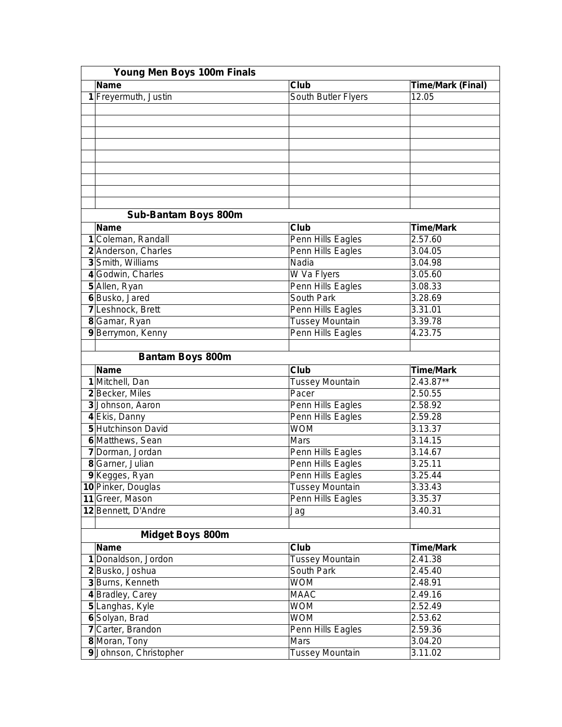|   | Young Men Boys 100m Finals  |                        |                   |  |  |
|---|-----------------------------|------------------------|-------------------|--|--|
|   | <b>Name</b>                 | Club                   | Time/Mark (Final) |  |  |
|   | 1 Freyermuth, Justin        | South Butler Flyers    | 12.05             |  |  |
|   |                             |                        |                   |  |  |
|   |                             |                        |                   |  |  |
|   |                             |                        |                   |  |  |
|   |                             |                        |                   |  |  |
|   |                             |                        |                   |  |  |
|   |                             |                        |                   |  |  |
|   |                             |                        |                   |  |  |
|   |                             |                        |                   |  |  |
|   |                             |                        |                   |  |  |
|   | <b>Sub-Bantam Boys 800m</b> |                        |                   |  |  |
|   | <b>Name</b>                 | Club                   | <b>Time/Mark</b>  |  |  |
| 1 | Coleman, Randall            | Penn Hills Eagles      | 2.57.60           |  |  |
|   | 2 Anderson, Charles         | Penn Hills Eagles      | 3.04.05           |  |  |
|   | 3 Smith, Williams           | Nadia                  | 3.04.98           |  |  |
|   | 4 Godwin, Charles           | W Va Flyers            | 3.05.60           |  |  |
|   | 5 Allen, Ryan               | Penn Hills Eagles      | 3.08.33           |  |  |
|   | 6 Busko, Jared              | South Park             | 3.28.69           |  |  |
|   | 7 Leshnock, Brett           | Penn Hills Eagles      | 3.31.01           |  |  |
|   | 8 Gamar, Ryan               | <b>Tussey Mountain</b> | 3.39.78           |  |  |
|   | 9 Berrymon, Kenny           | Penn Hills Eagles      | 4.23.75           |  |  |
|   |                             |                        |                   |  |  |
|   | <b>Bantam Boys 800m</b>     |                        |                   |  |  |
|   | <b>Name</b>                 | Club                   | <b>Time/Mark</b>  |  |  |
|   | 1 Mitchell, Dan             | <b>Tussey Mountain</b> | 2.43.87**         |  |  |
|   | 2 Becker, Miles             | Pacer                  | 2.50.55           |  |  |
|   | 3 Johnson, Aaron            | Penn Hills Eagles      | 2.58.92           |  |  |
|   | 4 Ekis, Danny               | Penn Hills Eagles      | 2.59.28           |  |  |
|   | 5 Hutchinson David          | <b>WOM</b>             | 3.13.37           |  |  |
|   | 6 Matthews, Sean            | Mars                   | 3.14.15           |  |  |
|   | 7 Dorman, Jordan            | Penn Hills Eagles      | 3.14.67           |  |  |
|   | 8 Garner, Julian            | Penn Hills Eagles      | 3.25.11           |  |  |
|   | 9 Kegges, Ryan              | Penn Hills Eagles      | 3.25.44           |  |  |
|   | 10 Pinker, Douglas          | <b>Tussey Mountain</b> | 3.33.43           |  |  |
|   | 11 Greer, Mason             | Penn Hills Eagles      | 3.35.37           |  |  |
|   | 12 Bennett, D'Andre         | Jag                    | 3.40.31           |  |  |
|   |                             |                        |                   |  |  |
|   | <b>Midget Boys 800m</b>     |                        |                   |  |  |
|   | <b>Name</b>                 | Club                   | <b>Time/Mark</b>  |  |  |
|   | 1 Donaldson, Jordon         | <b>Tussey Mountain</b> | 2.41.38           |  |  |
|   | 2 Busko, Joshua             | South Park             | 2.45.40           |  |  |
|   | 3 Burns, Kenneth            | <b>WOM</b>             | 2.48.91           |  |  |
|   | 4 Bradley, Carey            | <b>MAAC</b>            | 2.49.16           |  |  |
|   | 5 Langhas, Kyle             | <b>WOM</b>             | 2.52.49           |  |  |
|   | 6 Solyan, Brad              | <b>WOM</b>             | 2.53.62           |  |  |
|   | 7 Carter, Brandon           | Penn Hills Eagles      | 2.59.36           |  |  |
|   | 8 Moran, Tony               | Mars                   | 3.04.20           |  |  |
|   | 9 Johnson, Christopher      | <b>Tussey Mountain</b> | 3.11.02           |  |  |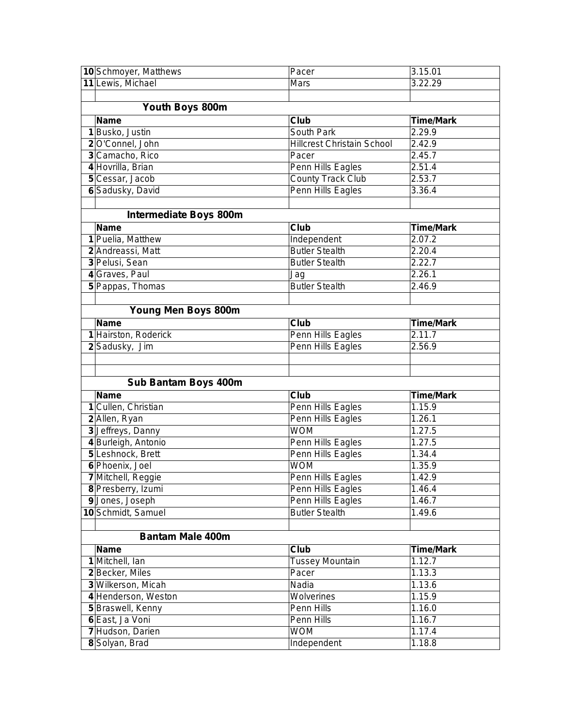| 10 Schmoyer, Matthews         | Pacer                             | 3.15.01          |  |  |
|-------------------------------|-----------------------------------|------------------|--|--|
| 11 Lewis, Michael             | Mars                              | 3.22.29          |  |  |
|                               |                                   |                  |  |  |
| Youth Boys 800m               |                                   |                  |  |  |
| <b>Name</b>                   | Club                              | <b>Time/Mark</b> |  |  |
| 1 Busko, Justin               | South Park                        | 2.29.9           |  |  |
| 2 O'Connel, John              | <b>Hillcrest Christain School</b> | 2.42.9           |  |  |
| 3 Camacho, Rico               | Pacer                             | 2.45.7           |  |  |
| 4 Hovrilla, Brian             | Penn Hills Eagles                 | 2.51.4           |  |  |
| 5 Cessar, Jacob               | <b>County Track Club</b>          | 2.53.7           |  |  |
| 6 Sadusky, David              | Penn Hills Eagles                 | 3.36.4           |  |  |
|                               |                                   |                  |  |  |
| <b>Intermediate Boys 800m</b> |                                   |                  |  |  |
| <b>Name</b>                   | Club                              | <b>Time/Mark</b> |  |  |
| 1 Puelia, Matthew             | Independent                       | 2.07.2           |  |  |
| 2 Andreassi, Matt             | <b>Butler Stealth</b>             | 2.20.4           |  |  |
| 3 Pelusi, Sean                | <b>Butler Stealth</b>             | 2.22.7           |  |  |
| 4 Graves, Paul                | Jag                               | 2.26.1           |  |  |
| 5 Pappas, Thomas              | <b>Butler Stealth</b>             | 2.46.9           |  |  |
|                               |                                   |                  |  |  |
| Young Men Boys 800m           |                                   |                  |  |  |
| <b>Name</b>                   | Club                              | <b>Time/Mark</b> |  |  |
| 1 Hairston, Roderick          | Penn Hills Eagles                 | 2.11.7           |  |  |
| 2 Sadusky, Jim                | Penn Hills Eagles                 | 2.56.9           |  |  |
|                               |                                   |                  |  |  |
|                               |                                   |                  |  |  |
| <b>Sub Bantam Boys 400m</b>   |                                   |                  |  |  |
| <b>Name</b>                   | Club                              | <b>Time/Mark</b> |  |  |
| 1 Cullen, Christian           | Penn Hills Eagles                 | 1.15.9           |  |  |
| 2 Allen, Ryan                 | Penn Hills Eagles                 | 1.26.1           |  |  |
| 3 Jeffreys, Danny             | <b>WOM</b>                        | 1.27.5           |  |  |
| 4 Burleigh, Antonio           | Penn Hills Eagles                 | 1.27.5           |  |  |
| 5 Leshnock, Brett             | Penn Hills Eagles                 | 1.34.4           |  |  |
| 6 Phoenix, Joel               | <b>WOM</b>                        | 1.35.9           |  |  |
| 7 Mitchell, Reggie            | Penn Hills Eagles                 | 1.42.9           |  |  |
| 8 Presberry, Izumi            | Penn Hills Eagles                 | 1.46.4           |  |  |
| 9 Jones, Joseph               | Penn Hills Eagles                 | 1.46.7           |  |  |
| 10 Schmidt, Samuel            | <b>Butler Stealth</b>             | 1.49.6           |  |  |
|                               |                                   |                  |  |  |
| <b>Bantam Male 400m</b>       |                                   |                  |  |  |
| <b>Name</b>                   | Club                              | <b>Time/Mark</b> |  |  |
| 1 Mitchell, Ian               | <b>Tussey Mountain</b>            | 1.12.7           |  |  |
| 2 Becker, Miles               | Pacer                             | 1.13.3           |  |  |
| 3 Wilkerson, Micah            | Nadia                             | 1.13.6           |  |  |
| 4 Henderson, Weston           | Wolverines                        | 1.15.9           |  |  |
| 5 Braswell, Kenny             | Penn Hills                        | 1.16.0           |  |  |
| 6 East, Ja Voni               | Penn Hills                        | 1.16.7           |  |  |
| 7 Hudson, Darien              | <b>WOM</b>                        | 1.17.4           |  |  |
| 8 Solyan, Brad                | Independent                       | 1.18.8           |  |  |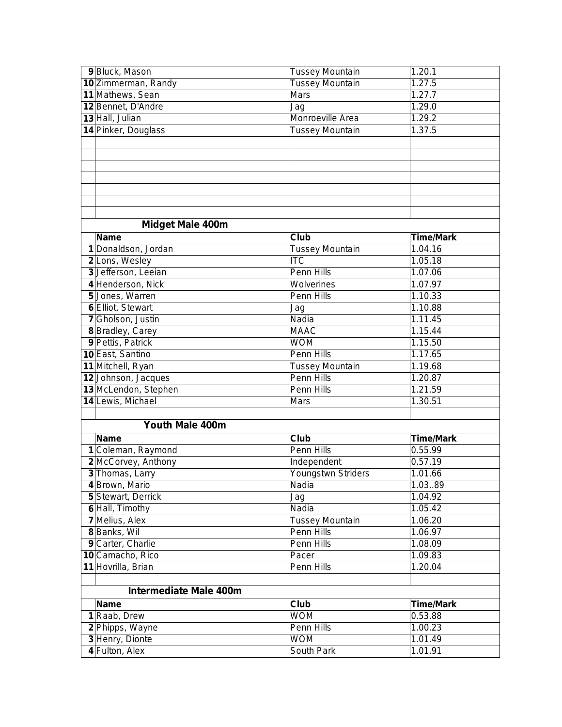| 9 Bluck, Mason                | Tussey Mountain        | 1.20.1               |
|-------------------------------|------------------------|----------------------|
| 10 Zimmerman, Randy           | <b>Tussey Mountain</b> | 1.27.5               |
| 11 Mathews, Sean              | Mars                   | 1.27.7               |
| 12 Bennet, D'Andre            | Jag                    | 1.29.0               |
| 13 Hall, Julian               | Monroeville Area       | 1.29.2               |
| 14 Pinker, Douglass           | <b>Tussey Mountain</b> | 1.37.5               |
|                               |                        |                      |
|                               |                        |                      |
|                               |                        |                      |
|                               |                        |                      |
|                               |                        |                      |
|                               |                        |                      |
|                               |                        |                      |
| <b>Midget Male 400m</b>       |                        |                      |
| <b>Name</b>                   | Club                   | <b>Time/Mark</b>     |
| 1 Donaldson, Jordan           | <b>Tussey Mountain</b> | 1.04.16              |
| 2 Lons, Wesley                | ITC                    | 1.05.18              |
| 3 Jefferson, Leeian           | Penn Hills             | 1.07.06              |
| 4 Henderson, Nick             | Wolverines             | 1.07.97              |
| 5 Jones, Warren               | Penn Hills             | 1.10.33              |
| 6 Elliot, Stewart             | Jag                    | 1.10.88              |
| 7 Gholson, Justin             | Nadia                  | 1.11.45              |
| 8 Bradley, Carey              | <b>MAAC</b>            | 1.15.44              |
| 9 Pettis, Patrick             | <b>WOM</b>             | 1.15.50              |
| 10 East, Santino              | Penn Hills             | 1.17.65              |
| 11 Mitchell, Ryan             | <b>Tussey Mountain</b> | 1.19.68              |
| 12 Johnson, Jacques           | <b>Penn Hills</b>      | 1.20.87              |
| 13 McLendon, Stephen          | Penn Hills             | 1.21.59              |
| 14 Lewis, Michael             | Mars                   | 1.30.51              |
|                               |                        |                      |
| Youth Male 400m               |                        |                      |
| <b>Name</b>                   | Club                   | <b>Time/Mark</b>     |
| 1 Coleman, Raymond            | Penn Hills             | 0.55.99              |
| 2 McCorvey, Anthony           | Independent            | 0.57.19              |
| 3 Thomas, Larry               | Youngstwn Striders     | 1.01.66              |
| 4 Brown, Mario                | Nadia                  | 1.0389               |
| 5 Stewart, Derrick            | Jag                    | 1.04.92              |
| 6 Hall, Timothy               | Nadia                  | 1.05.42              |
| 7 Melius, Alex                | Tussey Mountain        | 1.06.20              |
| 8 Banks, Wil                  | Penn Hills             | 1.06.97              |
| 9 Carter, Charlie             | Penn Hills             | 1.08.09              |
| 10 Camacho, Rico              | Pacer                  | 1.09.83              |
| 11 Hovrilla, Brian            | Penn Hills             | 1.20.04              |
|                               |                        |                      |
| <b>Intermediate Male 400m</b> |                        |                      |
| <b>Name</b>                   | Club                   | <b>Time/Mark</b>     |
| 1 Raab, Drew                  | <b>WOM</b>             | 0.53.88              |
| 2 Phipps, Wayne               | Penn Hills             | 1.00.23              |
| 3 Henry, Dionte               | <b>WOM</b>             | 1.01.49              |
| 4 Fulton, Alex                | South Park             | $\overline{1.01.91}$ |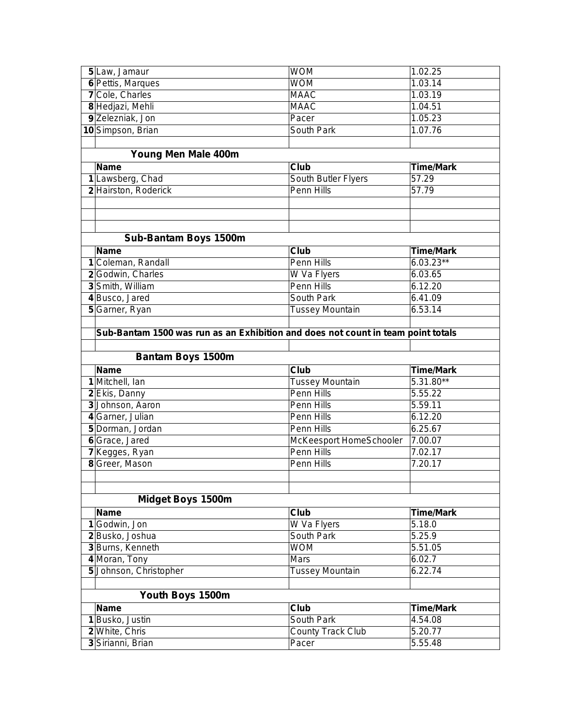| 6 Pettis, Marques<br><b>WOM</b><br>1.03.14<br>7 Cole, Charles<br><b>MAAC</b><br>1.03.19<br>8 Hedjazi, Mehli<br><b>MAAC</b><br>1.04.51<br>9 Zelezniak, Jon<br>1.05.23<br>Pacer<br>10 Simpson, Brian<br>South Park<br>1.07.76<br>Young Men Male 400m<br><b>Name</b><br>Club<br><b>Time/Mark</b><br>South Butler Flyers<br>57.29<br>1 Lawsberg, Chad<br><b>Penn Hills</b><br>2 Hairston, Roderick<br>57.79<br>Sub-Bantam Boys 1500m<br><b>Name</b><br>Club<br><b>Time/Mark</b><br>1 Coleman, Randall<br>Penn Hills<br>$6.03.23**$<br>W Va Flyers<br>2 Godwin, Charles<br>6.03.65<br>6.12.20<br>3 Smith, William<br>Penn Hills<br>4 Busco, Jared<br>South Park<br>6.41.09<br>5 Garner, Ryan<br><b>Tussey Mountain</b><br>6.53.14 |                                              |                    |                                                                                  |
|------------------------------------------------------------------------------------------------------------------------------------------------------------------------------------------------------------------------------------------------------------------------------------------------------------------------------------------------------------------------------------------------------------------------------------------------------------------------------------------------------------------------------------------------------------------------------------------------------------------------------------------------------------------------------------------------------------------------------|----------------------------------------------|--------------------|----------------------------------------------------------------------------------|
|                                                                                                                                                                                                                                                                                                                                                                                                                                                                                                                                                                                                                                                                                                                              |                                              |                    |                                                                                  |
|                                                                                                                                                                                                                                                                                                                                                                                                                                                                                                                                                                                                                                                                                                                              |                                              |                    |                                                                                  |
|                                                                                                                                                                                                                                                                                                                                                                                                                                                                                                                                                                                                                                                                                                                              |                                              |                    |                                                                                  |
|                                                                                                                                                                                                                                                                                                                                                                                                                                                                                                                                                                                                                                                                                                                              |                                              |                    |                                                                                  |
|                                                                                                                                                                                                                                                                                                                                                                                                                                                                                                                                                                                                                                                                                                                              |                                              |                    |                                                                                  |
|                                                                                                                                                                                                                                                                                                                                                                                                                                                                                                                                                                                                                                                                                                                              |                                              |                    |                                                                                  |
|                                                                                                                                                                                                                                                                                                                                                                                                                                                                                                                                                                                                                                                                                                                              |                                              |                    |                                                                                  |
|                                                                                                                                                                                                                                                                                                                                                                                                                                                                                                                                                                                                                                                                                                                              |                                              |                    |                                                                                  |
|                                                                                                                                                                                                                                                                                                                                                                                                                                                                                                                                                                                                                                                                                                                              |                                              |                    |                                                                                  |
|                                                                                                                                                                                                                                                                                                                                                                                                                                                                                                                                                                                                                                                                                                                              |                                              |                    |                                                                                  |
|                                                                                                                                                                                                                                                                                                                                                                                                                                                                                                                                                                                                                                                                                                                              |                                              |                    |                                                                                  |
|                                                                                                                                                                                                                                                                                                                                                                                                                                                                                                                                                                                                                                                                                                                              |                                              |                    |                                                                                  |
|                                                                                                                                                                                                                                                                                                                                                                                                                                                                                                                                                                                                                                                                                                                              |                                              |                    |                                                                                  |
|                                                                                                                                                                                                                                                                                                                                                                                                                                                                                                                                                                                                                                                                                                                              |                                              |                    |                                                                                  |
|                                                                                                                                                                                                                                                                                                                                                                                                                                                                                                                                                                                                                                                                                                                              |                                              |                    |                                                                                  |
|                                                                                                                                                                                                                                                                                                                                                                                                                                                                                                                                                                                                                                                                                                                              |                                              |                    |                                                                                  |
|                                                                                                                                                                                                                                                                                                                                                                                                                                                                                                                                                                                                                                                                                                                              |                                              |                    |                                                                                  |
|                                                                                                                                                                                                                                                                                                                                                                                                                                                                                                                                                                                                                                                                                                                              |                                              |                    |                                                                                  |
|                                                                                                                                                                                                                                                                                                                                                                                                                                                                                                                                                                                                                                                                                                                              |                                              |                    |                                                                                  |
|                                                                                                                                                                                                                                                                                                                                                                                                                                                                                                                                                                                                                                                                                                                              |                                              |                    |                                                                                  |
|                                                                                                                                                                                                                                                                                                                                                                                                                                                                                                                                                                                                                                                                                                                              |                                              |                    |                                                                                  |
|                                                                                                                                                                                                                                                                                                                                                                                                                                                                                                                                                                                                                                                                                                                              |                                              |                    |                                                                                  |
|                                                                                                                                                                                                                                                                                                                                                                                                                                                                                                                                                                                                                                                                                                                              |                                              |                    |                                                                                  |
|                                                                                                                                                                                                                                                                                                                                                                                                                                                                                                                                                                                                                                                                                                                              |                                              |                    | Sub-Bantam 1500 was run as an Exhibition and does not count in team point totals |
|                                                                                                                                                                                                                                                                                                                                                                                                                                                                                                                                                                                                                                                                                                                              |                                              |                    |                                                                                  |
|                                                                                                                                                                                                                                                                                                                                                                                                                                                                                                                                                                                                                                                                                                                              |                                              |                    | <b>Bantam Boys 1500m</b>                                                         |
|                                                                                                                                                                                                                                                                                                                                                                                                                                                                                                                                                                                                                                                                                                                              | <b>Name</b><br>Club                          | <b>Time/Mark</b>   |                                                                                  |
|                                                                                                                                                                                                                                                                                                                                                                                                                                                                                                                                                                                                                                                                                                                              | 1 Mitchell, Ian                              | 5.31.80**          | <b>Tussey Mountain</b>                                                           |
|                                                                                                                                                                                                                                                                                                                                                                                                                                                                                                                                                                                                                                                                                                                              | Penn Hills<br>2 Ekis, Danny                  | 5.55.22            |                                                                                  |
|                                                                                                                                                                                                                                                                                                                                                                                                                                                                                                                                                                                                                                                                                                                              | 3 Johnson, Aaron<br>Penn Hills               | 5.59.11            |                                                                                  |
| 7.00.07                                                                                                                                                                                                                                                                                                                                                                                                                                                                                                                                                                                                                                                                                                                      | 4 Garner, Julian<br>Penn Hills<br>Penn Hills | 6.12.20            |                                                                                  |
|                                                                                                                                                                                                                                                                                                                                                                                                                                                                                                                                                                                                                                                                                                                              | 5 Dorman, Jordan                             | 6.25.67            |                                                                                  |
|                                                                                                                                                                                                                                                                                                                                                                                                                                                                                                                                                                                                                                                                                                                              | 6 Grace, Jared<br>Penn Hills                 |                    | McKeesport HomeSchooler                                                          |
|                                                                                                                                                                                                                                                                                                                                                                                                                                                                                                                                                                                                                                                                                                                              | 7 Kegges, Ryan<br>Penn Hills                 | 7.02.17<br>7.20.17 |                                                                                  |
|                                                                                                                                                                                                                                                                                                                                                                                                                                                                                                                                                                                                                                                                                                                              | 8 Greer, Mason                               |                    |                                                                                  |
|                                                                                                                                                                                                                                                                                                                                                                                                                                                                                                                                                                                                                                                                                                                              |                                              |                    |                                                                                  |
| Midget Boys 1500m                                                                                                                                                                                                                                                                                                                                                                                                                                                                                                                                                                                                                                                                                                            |                                              |                    |                                                                                  |
| <b>Time/Mark</b>                                                                                                                                                                                                                                                                                                                                                                                                                                                                                                                                                                                                                                                                                                             |                                              |                    |                                                                                  |
| <b>Name</b><br>Club<br>5.18.0                                                                                                                                                                                                                                                                                                                                                                                                                                                                                                                                                                                                                                                                                                |                                              |                    |                                                                                  |
| 1 Godwin, Jon<br>W Va Flyers                                                                                                                                                                                                                                                                                                                                                                                                                                                                                                                                                                                                                                                                                                 |                                              |                    |                                                                                  |
| 5.25.9<br>2 Busko, Joshua<br>South Park                                                                                                                                                                                                                                                                                                                                                                                                                                                                                                                                                                                                                                                                                      |                                              |                    |                                                                                  |
| 3 Burns, Kenneth<br><b>WOM</b><br>5.51.05<br>4 Moran, Tony<br>6.02.7<br>Mars                                                                                                                                                                                                                                                                                                                                                                                                                                                                                                                                                                                                                                                 |                                              |                    |                                                                                  |
| 6.22.74                                                                                                                                                                                                                                                                                                                                                                                                                                                                                                                                                                                                                                                                                                                      |                                              |                    |                                                                                  |
| 5 Johnson, Christopher<br><b>Tussey Mountain</b>                                                                                                                                                                                                                                                                                                                                                                                                                                                                                                                                                                                                                                                                             |                                              |                    |                                                                                  |
|                                                                                                                                                                                                                                                                                                                                                                                                                                                                                                                                                                                                                                                                                                                              |                                              |                    |                                                                                  |
| Youth Boys 1500m                                                                                                                                                                                                                                                                                                                                                                                                                                                                                                                                                                                                                                                                                                             |                                              |                    |                                                                                  |
| <b>Name</b><br>Club<br><b>Time/Mark</b>                                                                                                                                                                                                                                                                                                                                                                                                                                                                                                                                                                                                                                                                                      |                                              |                    |                                                                                  |
| 1 Busko, Justin<br>South Park<br>4.54.08<br>2 White, Chris<br><b>County Track Club</b><br>5.20.77                                                                                                                                                                                                                                                                                                                                                                                                                                                                                                                                                                                                                            |                                              |                    |                                                                                  |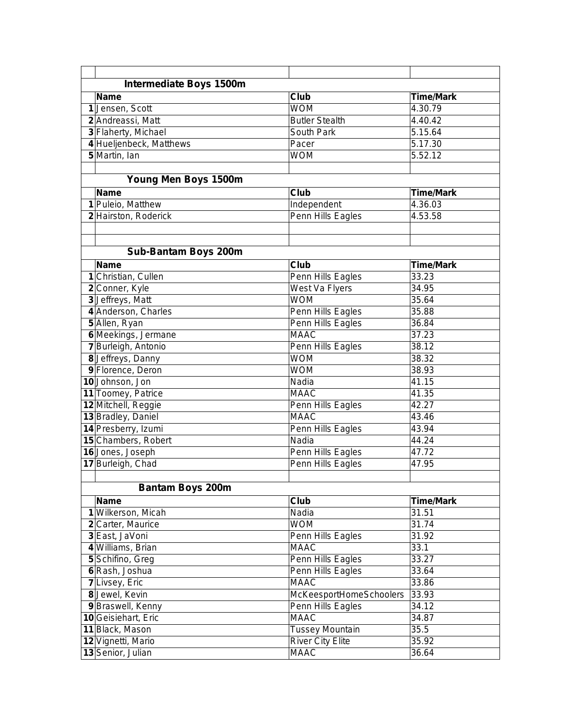| <b>Intermediate Boys 1500m</b>             |                                  |                           |
|--------------------------------------------|----------------------------------|---------------------------|
| <b>Name</b>                                | <b>Club</b>                      | <b>Time/Mark</b>          |
| 1 Jensen, Scott                            | <b>WOM</b>                       | 4.30.79                   |
| 2 Andreassi, Matt                          | <b>Butler Stealth</b>            | 4.40.42                   |
| 3 Flaherty, Michael                        | South Park                       | 5.15.64                   |
| 4 Hueljenbeck, Matthews                    | Pacer                            | 5.17.30                   |
| 5 Martin, Ian                              | <b>WOM</b>                       | 5.52.12                   |
|                                            |                                  |                           |
| Young Men Boys 1500m                       |                                  |                           |
| <b>Name</b>                                | Club                             | <b>Time/Mark</b>          |
| 1 Puleio, Matthew                          | Independent                      | 4.36.03                   |
| 2 Hairston, Roderick                       | Penn Hills Eagles                | 4.53.58                   |
|                                            |                                  |                           |
|                                            |                                  |                           |
| <b>Sub-Bantam Boys 200m</b>                |                                  |                           |
|                                            |                                  |                           |
| <b>Name</b><br>1 Christian, Cullen         | <b>Club</b><br>Penn Hills Eagles | <b>Time/Mark</b><br>33.23 |
|                                            |                                  | 34.95                     |
| 2 Conner, Kyle<br>3 Jeffreys, Matt         | West Va Flyers<br><b>WOM</b>     | 35.64                     |
| 4 Anderson, Charles                        | Penn Hills Eagles                | 35.88                     |
| 5 Allen, Ryan                              |                                  | 36.84                     |
|                                            | Penn Hills Eagles<br><b>MAAC</b> | 37.23                     |
| 6 Meekings, Jermane                        | Penn Hills Eagles                | 38.12                     |
| 7 Burleigh, Antonio                        |                                  |                           |
| 8 Jeffreys, Danny                          | <b>WOM</b><br><b>WOM</b>         | 38.32                     |
| 9 Florence, Deron<br>10 Johnson, Jon       | Nadia                            | 38.93<br>41.15            |
|                                            | <b>MAAC</b>                      | $\overline{4}1.35$        |
| 11 Toomey, Patrice                         |                                  | 42.27                     |
| 12 Mitchell, Reggie<br>13 Bradley, Daniel  | Penn Hills Eagles<br><b>MAAC</b> | 43.46                     |
|                                            |                                  | 43.94                     |
| 14 Presberry, Izumi<br>15 Chambers, Robert | Penn Hills Eagles<br>Nadia       | 44.24                     |
| 16 Jones, Joseph                           | Penn Hills Eagles                | 47.72                     |
| 17 Burleigh, Chad                          | Penn Hills Eagles                | 47.95                     |
|                                            |                                  |                           |
|                                            |                                  |                           |
| <b>Bantam Boys 200m</b>                    |                                  |                           |
| <b>Name</b>                                | Club                             | <b>Time/Mark</b>          |
| 1 Wilkerson, Micah                         | Nadia                            | 31.51                     |
| 2 Carter, Maurice                          | <b>WOM</b>                       | 31.74                     |
| 3 East, JaVoni                             | Penn Hills Eagles                | 31.92                     |
| 4 Williams, Brian                          | <b>MAAC</b>                      | 33.1                      |
| 5 Schifino, Greg                           | Penn Hills Eagles                | 33.27                     |
| 6 Rash, Joshua                             | Penn Hills Eagles                | 33.64                     |
| 7 Livsey, Eric                             | <b>MAAC</b>                      | 33.86                     |
| 8 Jewel, Kevin                             | McKeesportHomeSchoolers          | 33.93                     |
| 9 Braswell, Kenny                          | Penn Hills Eagles                | 34.12                     |
| 10 Geisiehart, Eric                        | <b>MAAC</b>                      | 34.87                     |
| 11 Black, Mason                            | <b>Tussey Mountain</b>           | 35.5                      |
| 12 Vignetti, Mario                         | <b>River City Elite</b>          | 35.92                     |
| 13 Senior, Julian                          | <b>MAAC</b>                      | 36.64                     |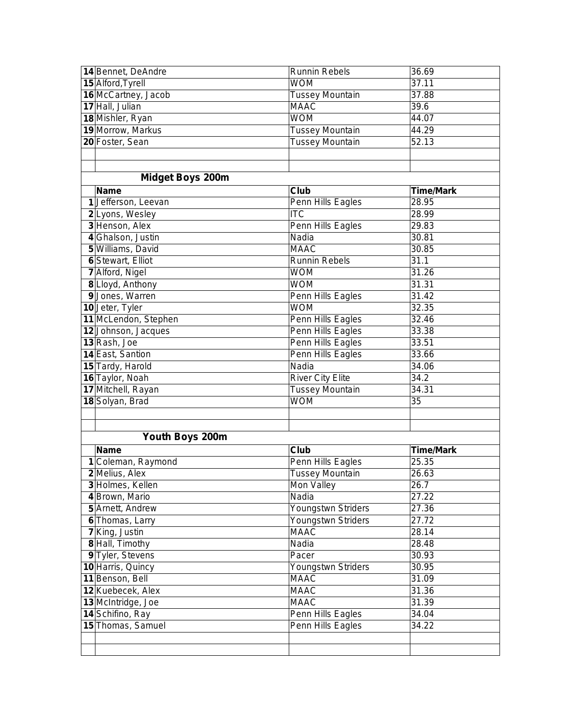| 14 Bennet, DeAndre       | <b>Runnin Rebels</b>    | 36.69            |
|--------------------------|-------------------------|------------------|
| 15 Alford, Tyrell        | <b>WOM</b>              | 37.11            |
| 16 McCartney, Jacob      | <b>Tussey Mountain</b>  | 37.88            |
| 17 Hall, Julian          | <b>MAAC</b>             | 39.6             |
| 18 Mishler, Ryan         | <b>WOM</b>              | 44.07            |
| 19 Morrow, Markus        | <b>Tussey Mountain</b>  | 44.29            |
| 20 Foster, Sean          | <b>Tussey Mountain</b>  | 52.13            |
|                          |                         |                  |
|                          |                         |                  |
| <b>Midget Boys 200m</b>  |                         |                  |
| <b>Name</b>              | Club                    | <b>Time/Mark</b> |
| 1 Jefferson, Leevan      | Penn Hills Eagles       | 28.95            |
| 2 Lyons, Wesley          | <b>ITC</b>              | 28.99            |
| 3 Henson, Alex           | Penn Hills Eagles       | 29.83            |
| 4 Ghalson, Justin        | Nadia                   | 30.81            |
| 5 Williams, David        | <b>MAAC</b>             | 30.85            |
| <b>6</b> Stewart, Elliot | Runnin Rebels           | 31.1             |
| 7 Alford, Nigel          | <b>WOM</b>              | 31.26            |
| 8 Lloyd, Anthony         | <b>WOM</b>              | 31.31            |
| 9 Jones, Warren          | Penn Hills Eagles       | 31.42            |
| 10 Jeter, Tyler          | <b>WOM</b>              | 32.35            |
| 11 McLendon, Stephen     | Penn Hills Eagles       | 32.46            |
| 12 Johnson, Jacques      | Penn Hills Eagles       | 33.38            |
| 13 Rash, Joe             | Penn Hills Eagles       | 33.51            |
| 14 East, Santion         | Penn Hills Eagles       | 33.66            |
| 15 Tardy, Harold         | Nadia                   | 34.06            |
| 16 Taylor, Noah          | <b>River City Elite</b> | 34.2             |
| 17 Mitchell, Rayan       | <b>Tussey Mountain</b>  | 34.31            |
| 18 Solyan, Brad          | <b>WOM</b>              | 35               |
|                          |                         |                  |
|                          |                         |                  |
| Youth Boys 200m          |                         |                  |
| <b>Name</b>              | Club                    | <b>Time/Mark</b> |
| 1 Coleman, Raymond       | Penn Hills Eagles       | 25.35            |
| 2 Melius, Alex           | <b>Tussey Mountain</b>  | 26.63            |
| 3 Holmes, Kellen         | Mon Valley              | 26.7             |
| 4 Brown, Mario           | Nadia                   | 27.22            |
| 5 Arnett, Andrew         | Youngstwn Striders      | 27.36            |
| 6 Thomas, Larry          | Youngstwn Striders      | 27.72            |
| 7 King, Justin           | <b>MAAC</b>             | 28.14            |
| 8 Hall, Timothy          | Nadia                   | 28.48            |
| 9 Tyler, Stevens         | Pacer                   | 30.93            |
| 10 Harris, Quincy        | Youngstwn Striders      | 30.95            |
| 11 Benson, Bell          | <b>MAAC</b>             | 31.09            |
| 12 Kuebecek, Alex        | <b>MAAC</b>             | 31.36            |
| 13 McIntridge, Joe       | <b>MAAC</b>             | 31.39            |
| 14 Schifino, Ray         | Penn Hills Eagles       | 34.04            |
| 15 Thomas, Samuel        | Penn Hills Eagles       | 34.22            |
|                          |                         |                  |
|                          |                         |                  |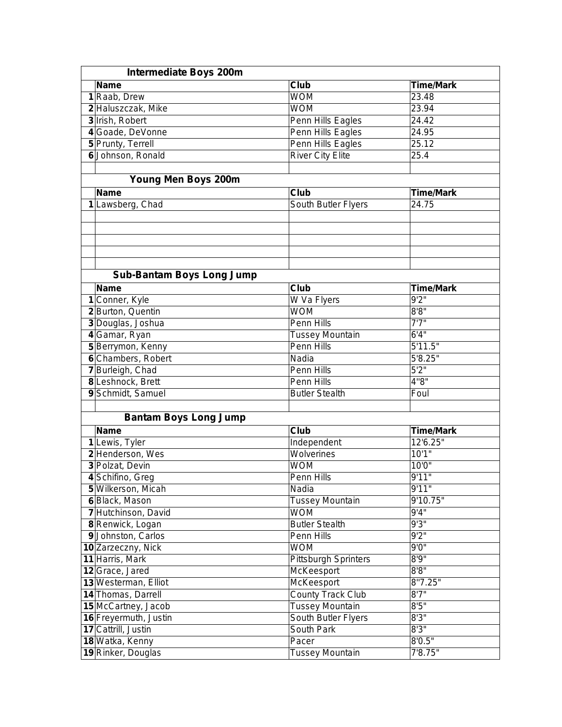| <b>Intermediate Boys 200m</b>    |                             |                       |
|----------------------------------|-----------------------------|-----------------------|
| <b>Name</b>                      | Club                        | <b>Time/Mark</b>      |
| 1 Raab, Drew                     | <b>WOM</b>                  | 23.48                 |
| 2 Haluszczak, Mike               | <b>WOM</b>                  | 23.94                 |
| 3 Irish, Robert                  | Penn Hills Eagles           | 24.42                 |
| 4 Goade, DeVonne                 | Penn Hills Eagles           | 24.95                 |
| 5 Prunty, Terrell                | Penn Hills Eagles           | 25.12                 |
| 6 Johnson, Ronald                | <b>River City Elite</b>     | 25.4                  |
|                                  |                             |                       |
| Young Men Boys 200m              |                             |                       |
| <b>Name</b>                      | Club                        | <b>Time/Mark</b>      |
| 1 Lawsberg, Chad                 | South Butler Flyers         | 24.75                 |
|                                  |                             |                       |
|                                  |                             |                       |
|                                  |                             |                       |
|                                  |                             |                       |
|                                  |                             |                       |
|                                  |                             |                       |
| <b>Sub-Bantam Boys Long Jump</b> |                             |                       |
| <b>Name</b>                      | Club                        | <b>Time/Mark</b>      |
| 1 Conner, Kyle                   | W Va Flyers                 | 9'2''                 |
| 2 Burton, Quentin                | <b>WOM</b>                  | 8'8''                 |
| 3 Douglas, Joshua                | <b>Penn Hills</b>           | 7'7''                 |
| 4 Gamar, Ryan                    | <b>Tussey Mountain</b>      | 6'4''                 |
| 5 Berrymon, Kenny                | <b>Penn Hills</b>           | 5'11.5"               |
| 6 Chambers, Robert               | Nadia                       | $\overline{5'8.25''}$ |
| 7 Burleigh, Chad                 | Penn Hills                  | 5'2''                 |
| 8 Leshnock, Brett                | Penn Hills                  | 4"8"                  |
| 9 Schmidt, Samuel                | <b>Butler Stealth</b>       | Foul                  |
|                                  |                             |                       |
| <b>Bantam Boys Long Jump</b>     |                             |                       |
| <b>Name</b>                      | Club                        | <b>Time/Mark</b>      |
| 1 Lewis, Tyler                   | Independent                 | 12'6.25"              |
| 2 Henderson, Wes                 | Wolverines                  | 10'1"                 |
| 3 Polzat, Devin                  | <b>WOM</b>                  | 10'0''                |
| 4 Schifino, Greg                 | Penn Hills                  | 9'11"                 |
| 5 Wilkerson, Micah               | Nadia                       | 9'11"                 |
| 6 Black, Mason                   | <b>Tussey Mountain</b>      | 9'10.75"              |
| 7 Hutchinson, David              | <b>WOM</b>                  | 9'4''                 |
| 8 Renwick, Logan                 | <b>Butler Stealth</b>       | 9'3''                 |
| 9 Johnston, Carlos               | Penn Hills                  | 9'2''                 |
| 10 Zarzeczny, Nick               | <b>WOM</b>                  | 9'0''                 |
| 11 Harris, Mark                  | <b>Pittsburgh Sprinters</b> | 8'9''                 |
| 12 Grace, Jared                  | McKeesport                  | 8'8''                 |
| 13 Westerman, Elliot             | McKeesport                  | 8"7.25"               |
| 14 Thomas, Darrell               | <b>County Track Club</b>    | 8'7''                 |
| 15 McCartney, Jacob              | <b>Tussey Mountain</b>      | 8'5''                 |
| 16 Freyermuth, Justin            | South Butler Flyers         | 8'3''                 |
| 17 Cattrill, Justin              | South Park                  | 8'3''                 |
| 18 Watka, Kenny                  | Pacer                       | 8'0.5"                |
| 19 Rinker, Douglas               | <b>Tussey Mountain</b>      | 7'8.75''              |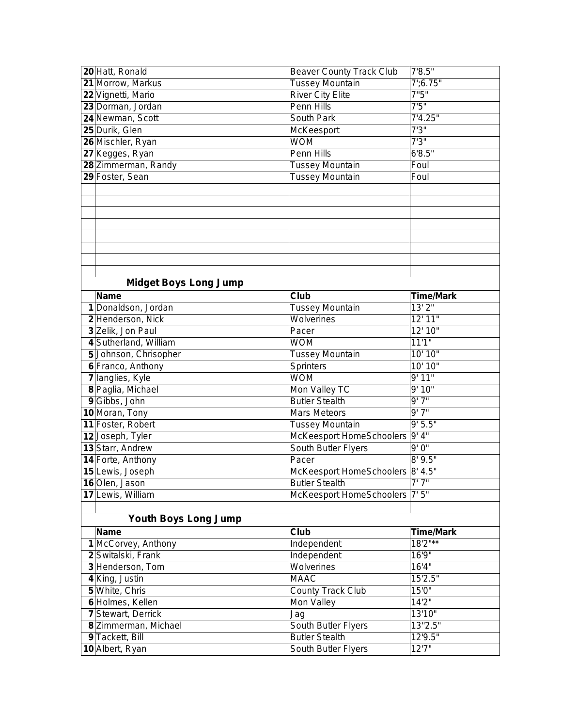| 20 Hatt, Ronald              | <b>Beaver County Track Club</b>  | 7'8.5"           |
|------------------------------|----------------------------------|------------------|
| 21 Morrow, Markus            | <b>Tussey Mountain</b>           | $7'$ ;6.75"      |
| 22 Vignetti, Mario           | <b>River City Elite</b>          | 7"5"             |
| 23 Dorman, Jordan            | Penn Hills                       | 7'5''            |
| 24 Newman, Scott             | <b>South Park</b>                | 7'4.25''         |
| 25 Durik, Glen               | McKeesport                       | 7'3''            |
| 26 Mischler, Ryan            | <b>WOM</b>                       | 7'3''            |
| 27 Kegges, Ryan              | Penn Hills                       | 6'8.5''          |
| 28 Zimmerman, Randy          | Tussey Mountain                  | Foul             |
| 29 Foster, Sean              | <b>Tussey Mountain</b>           | Foul             |
|                              |                                  |                  |
|                              |                                  |                  |
|                              |                                  |                  |
|                              |                                  |                  |
|                              |                                  |                  |
|                              |                                  |                  |
|                              |                                  |                  |
|                              |                                  |                  |
| <b>Midget Boys Long Jump</b> |                                  |                  |
| <b>Name</b>                  | Club                             | <b>Time/Mark</b> |
| 1 Donaldson, Jordan          | <b>Tussey Mountain</b>           | 13'2"            |
| 2 Henderson, Nick            | Wolverines                       | 12' 11''         |
| 3 Zelik, Jon Paul            | Pacer                            | 12' 10"          |
| 4 Sutherland, William        | <b>WOM</b>                       | 11'1"            |
| 5 Johnson, Chrisopher        | Tussey Mountain                  | 10' 10"          |
| 6 Franco, Anthony            | Sprinters                        | 10' 10"          |
| 7 langlies, Kyle             | <b>WOM</b>                       | 9'11"            |
| 8 Paglia, Michael            | Mon Valley TC                    | 9'10"            |
| 9 Gibbs, John                | <b>Butler Stealth</b>            | 9'7''            |
| 10 Moran, Tony               | <b>Mars Meteors</b>              | 9'7''            |
| 11 Foster, Robert            | <b>Tussey Mountain</b>           | 9' 5.5"          |
| 12 Joseph, Tyler             | McKeesport HomeSchoolers 9' 4"   |                  |
| 13 Starr, Andrew             | South Butler Flyers              | 9'0''            |
| 14 Forte, Anthony            | Pacer                            | 8'9.5''          |
| 15 Lewis, Joseph             | McKeesport HomeSchoolers 8' 4.5" |                  |
| 16 Olen, Jason               | <b>Butler Stealth</b>            | 7'7''            |
| 17 Lewis, William            | McKeesport HomeSchoolers 7' 5"   |                  |
|                              |                                  |                  |
| <b>Youth Boys Long Jump</b>  |                                  |                  |
| <b>Name</b>                  | Club                             | <b>Time/Mark</b> |
| 1 McCorvey, Anthony          | Independent                      | 18'2"**          |
| 2 Switalski, Frank           | Independent                      | 16'9"            |
| 3 Henderson, Tom             | Wolverines                       | 16'4"            |
| 4 King, Justin               | <b>MAAC</b>                      | 15'2.5"          |
| 5 White, Chris               | <b>County Track Club</b>         | 15'0"            |
| 6 Holmes, Kellen             | Mon Valley                       | 14'2"            |
| 7 Stewart, Derrick           | Jag                              | 13'10"           |
| 8 Zimmerman, Michael         | South Butler Flyers              | 13"2.5"          |
| 9 Tackett, Bill              | <b>Butler Stealth</b>            | 12'9.5"          |
| 10 Albert, Ryan              | South Butler Flyers              | 12'7''           |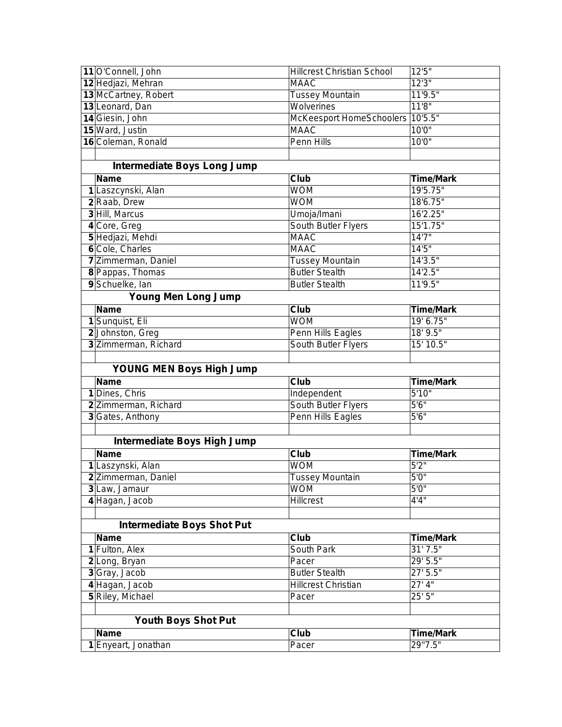| 11 O'Connell, John                 | <b>Hillcrest Christian School</b> | 12'5"              |
|------------------------------------|-----------------------------------|--------------------|
| 12 Hedjazi, Mehran                 | <b>MAAC</b>                       | 12'3''             |
| 13 McCartney, Robert               | <b>Tussey Mountain</b>            | 11'9.5"            |
| 13 Leonard, Dan                    | Wolverines                        | 11'8''             |
| 14 Giesin, John                    | McKeesport HomeSchoolers          | 10'5.5"            |
| 15 Ward, Justin                    | <b>MAAC</b>                       | 10'0''             |
| 16 Coleman, Ronald                 | Penn Hills                        | 10'0''             |
|                                    |                                   |                    |
| <b>Intermediate Boys Long Jump</b> |                                   |                    |
| <b>Name</b>                        | Club                              | <b>Time/Mark</b>   |
| 1 Laszcynski, Alan                 | <b>WOM</b>                        | 19'5.75"           |
| 2 Raab, Drew                       | <b>WOM</b>                        | 18'6.75"           |
| 3 Hill, Marcus                     | Umoja/Imani                       | 16'2.25"           |
| 4 Core, Greg                       | South Butler Flyers               | 15'1.75"           |
| 5 Hedjazi, Mehdi                   | <b>MAAC</b>                       | 14'7''             |
| 6 Cole, Charles                    | <b>MAAC</b>                       | 14'5''             |
| 7 Zimmerman, Daniel                | <b>Tussey Mountain</b>            | 14'3.5"            |
| 8 Pappas, Thomas                   | <b>Butler Stealth</b>             | 14'2.5''           |
| 9 Schuelke, Ian                    | <b>Butler Stealth</b>             | 11'9.5"            |
| <b>Young Men Long Jump</b>         |                                   |                    |
| <b>Name</b>                        | Club                              | <b>Time/Mark</b>   |
| 1 Sunquist, Eli                    | <b>WOM</b>                        | 19' 6.75"          |
| 2Johnston, Greg                    | Penn Hills Eagles                 | 18' 9.5"           |
| 3 Zimmerman, Richard               | South Butler Flyers               | 15' 10.5"          |
|                                    |                                   |                    |
| <b>YOUNG MEN Boys High Jump</b>    |                                   |                    |
| <b>Name</b>                        | Club                              | <b>Time/Mark</b>   |
| 1 Dines, Chris                     | Independent                       | 5'10''             |
|                                    |                                   |                    |
| 2 Zimmerman, Richard               | South Butler Flyers               | 5'6''              |
| 3 Gates, Anthony                   | Penn Hills Eagles                 | 5'6''              |
|                                    |                                   |                    |
| Intermediate Boys High Jump        |                                   |                    |
| <b>Name</b>                        | Club                              | <b>Time/Mark</b>   |
| 1 Laszynski, Alan                  | <b>WOM</b>                        | $\overline{5'2''}$ |
| 2 Zimmerman, Daniel                | <b>Tussey Mountain</b>            | 5'0''              |
| 3 Law, Jamaur                      | <b>WOM</b>                        | 5'0''              |
| 4 Hagan, Jacob                     | <b>Hillcrest</b>                  | 4'4''              |
|                                    |                                   |                    |
| <b>Intermediate Boys Shot Put</b>  |                                   |                    |
| <b>Name</b>                        | Club                              | <b>Time/Mark</b>   |
| 1 Fulton, Alex                     | South Park                        | 31' 7.5"           |
| 2 Long, Bryan                      | Pacer                             | 29' 5.5"           |
| 3 Gray, Jacob                      | <b>Butler Stealth</b>             | 27' 5.5"           |
| 4 Hagan, Jacob                     | <b>Hillcrest Christian</b>        | 27' 4''            |
| 5 Riley, Michael                   | Pacer                             | 25'5''             |
|                                    |                                   |                    |
| <b>Youth Boys Shot Put</b>         |                                   |                    |
| <b>Name</b>                        | Club                              | <b>Time/Mark</b>   |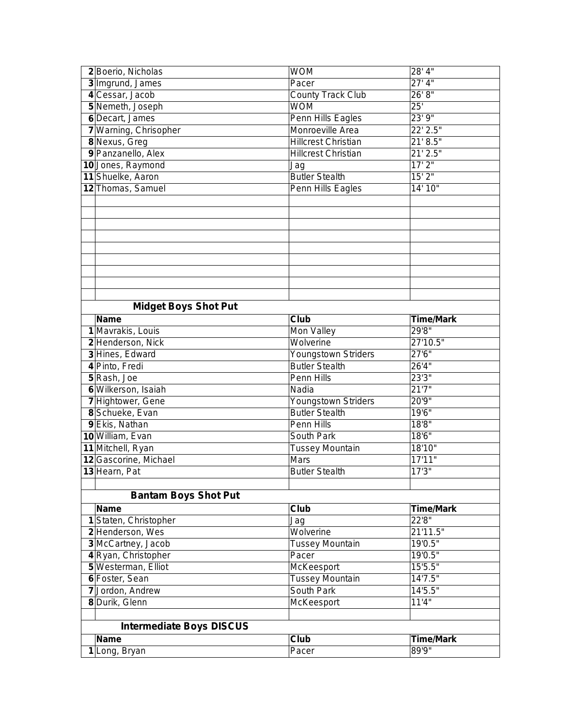|    | 2 Boerio, Nicholas              | <b>WOM</b>                 | $28'$ 4"              |
|----|---------------------------------|----------------------------|-----------------------|
|    | 3 Imgrund, James                | Pacer                      | 27' 4''               |
|    | 4 Cessar, Jacob                 | <b>County Track Club</b>   | 26' 8"                |
|    | 5 Nemeth, Joseph                | <b>WOM</b>                 | $\overline{25}$       |
|    | 6 Decart, James                 | Penn Hills Eagles          | 23' 9"                |
|    | 7 Warning, Chrisopher           | Monroeville Area           | 22' 2.5"              |
|    | 8 Nexus, Greg                   | <b>Hillcrest Christian</b> | 21' 8.5''             |
|    | 9 Panzanello, Alex              | <b>Hillcrest Christian</b> | $21'$ $2.5"$          |
|    | 10 Jones, Raymond               | Jag                        | 17'2''                |
| 11 | Shuelke, Aaron                  | <b>Butler Stealth</b>      | 15'2''                |
|    | 12 Thomas, Samuel               | Penn Hills Eagles          | 14' 10"               |
|    |                                 |                            |                       |
|    |                                 |                            |                       |
|    |                                 |                            |                       |
|    |                                 |                            |                       |
|    |                                 |                            |                       |
|    |                                 |                            |                       |
|    |                                 |                            |                       |
|    |                                 |                            |                       |
|    |                                 |                            |                       |
|    | <b>Midget Boys Shot Put</b>     |                            |                       |
|    | <b>Name</b>                     | Club                       | <b>Time/Mark</b>      |
|    | 1 Mavrakis, Louis               | Mon Valley                 | 29'8"                 |
|    | 2 Henderson, Nick               | Wolverine                  | $27'10.\overline{5"}$ |
|    | 3 Hines, Edward                 | Youngstown Striders        | 27'6''                |
|    | 4 Pinto, Fredi                  | <b>Butler Stealth</b>      | 26'4"                 |
|    | 5 Rash, Joe                     | Penn Hills                 | 23'3"                 |
|    | 6 Wilkerson, Isaiah             | Nadia                      | 21'7''                |
|    | 7 Hightower, Gene               | Youngstown Striders        | 20'9"                 |
|    | 8 Schueke, Evan                 | <b>Butler Stealth</b>      | 19'6"                 |
|    | 9 Ekis, Nathan                  | Penn Hills                 | 18'8''                |
|    | 10 William, Evan                | South Park                 | 18'6''                |
|    | 11 Mitchell, Ryan               | <b>Tussey Mountain</b>     | 18'10"                |
|    | 12 Gascorine, Michael           | Mars                       | 17'11"                |
|    | 13 Hearn, Pat                   | <b>Butler Stealth</b>      | 17'3''                |
|    |                                 |                            |                       |
|    | <b>Bantam Boys Shot Put</b>     |                            |                       |
|    | <b>Name</b>                     | Club                       | <b>Time/Mark</b>      |
|    | 1 Staten, Christopher           | Jag                        | 22'8"                 |
|    | 2 Henderson, Wes                | Wolverine                  | 21'11.5"              |
|    | 3 McCartney, Jacob              | <b>Tussey Mountain</b>     | 19'0.5"               |
|    | 4 Ryan, Christopher             | Pacer                      | 19'0.5"               |
|    | 5 Westerman, Elliot             | McKeesport                 | 15'5.5"               |
|    | 6 Foster, Sean                  | <b>Tussey Mountain</b>     | 14'7.5"               |
|    | 7 Jordon, Andrew                | South Park                 | 14'5.5"               |
|    | 8 Durik, Glenn                  | McKeesport                 | 11'4"                 |
|    |                                 |                            |                       |
|    | <b>Intermediate Boys DISCUS</b> |                            |                       |
|    | <b>Name</b>                     | Club                       | <b>Time/Mark</b>      |
|    | 1 Long, Bryan                   | Pacer                      | 89'9''                |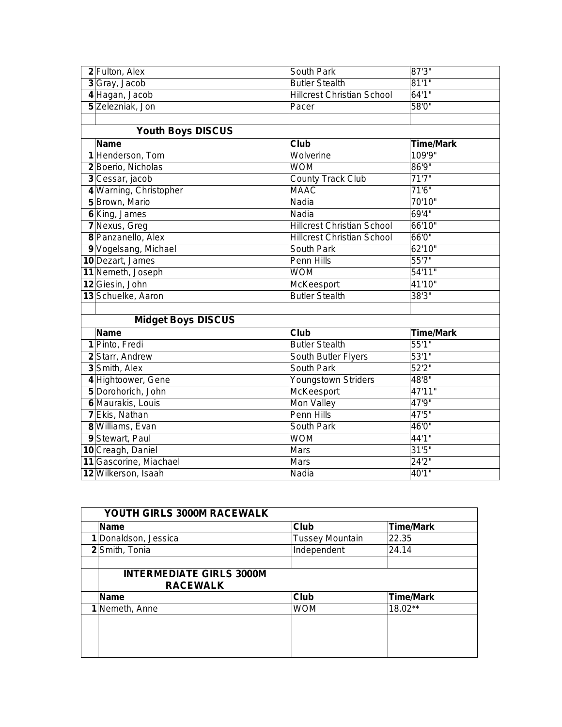| 2 Fulton, Alex            | South Park                        | 87'3"            |
|---------------------------|-----------------------------------|------------------|
| 3 Gray, Jacob             | <b>Butler Stealth</b>             | 81'1''           |
| 4 Hagan, Jacob            | <b>Hillcrest Christian School</b> | 64'1''           |
| 5 Zelezniak, Jon          | Pacer                             | 58'0"            |
|                           |                                   |                  |
| <b>Youth Boys DISCUS</b>  |                                   |                  |
| <b>Name</b>               | <b>Club</b>                       | <b>Time/Mark</b> |
| 1 Henderson, Tom          | Wolverine                         | 109'9"           |
| 2 Boerio, Nicholas        | <b>WOM</b>                        | 86'9''           |
| 3 Cessar, jacob           | <b>County Track Club</b>          | 71'7''           |
| 4 Warning, Christopher    | <b>MAAC</b>                       | 71'6"            |
| 5 Brown, Mario            | Nadia                             | 70'10"           |
| 6 King, James             | Nadia                             | 69'4"            |
| 7 Nexus, Greg             | <b>Hillcrest Christian School</b> | 66'10"           |
| 8 Panzanello, Alex        | <b>Hillcrest Christian School</b> | 66'0"            |
| 9 Vogelsang, Michael      | South Park                        | 62'10"           |
| 10 Dezart, James          | Penn Hills                        | 55'7''           |
| 11 Nemeth, Joseph         | <b>WOM</b>                        | 54'11"           |
| 12 Giesin, John           | McKeesport                        | 41'10"           |
| 13 Schuelke, Aaron        | <b>Butler Stealth</b>             | 38'3"            |
|                           |                                   |                  |
| <b>Midget Boys DISCUS</b> |                                   |                  |
| <b>Name</b>               | <b>Club</b>                       | <b>Time/Mark</b> |
| 1 Pinto, Fredi            | <b>Butler Stealth</b>             | 55'1"            |
| 2 Starr, Andrew           | South Butler Flyers               | 53'1''           |
| 3 Smith, Alex             | South Park                        | 52'2''           |
| 4 Hightoower, Gene        | Youngstown Striders               | 48'8"            |
| 5 Dorohorich, John        | McKeesport                        | 47'11"           |
| 6 Maurakis, Louis         | Mon Valley                        | 47'9"            |
| 7 Ekis, Nathan            | Penn Hills                        | 47'5"            |
| 8 Williams, Evan          | South Park                        | 46'0"            |
| 9 Stewart, Paul           | <b>WOM</b>                        | 44'1"            |
| 10 Creagh, Daniel         | Mars                              | 31'5''           |
| 11 Gascorine, Miachael    | <b>Mars</b>                       | 24'2''           |
| 12 Wilkerson, Isaah       | Nadia                             | 40'1"            |

| YOUTH GIRLS 3000M RACEWALK                         |                        |                  |  |  |
|----------------------------------------------------|------------------------|------------------|--|--|
| <b>Name</b>                                        | Club                   | <b>Time/Mark</b> |  |  |
| 1 Donaldson, Jessica                               | <b>Tussey Mountain</b> | 22.35            |  |  |
| 2 Smith, Tonia                                     | Independent            | 24.14            |  |  |
|                                                    |                        |                  |  |  |
| <b>INTERMEDIATE GIRLS 3000M</b><br><b>RACEWALK</b> |                        |                  |  |  |
| Name                                               | Club                   | <b>Time/Mark</b> |  |  |
| 1 Nemeth, Anne                                     | WOM                    | 18.02**          |  |  |
|                                                    |                        |                  |  |  |
|                                                    |                        |                  |  |  |
|                                                    |                        |                  |  |  |
|                                                    |                        |                  |  |  |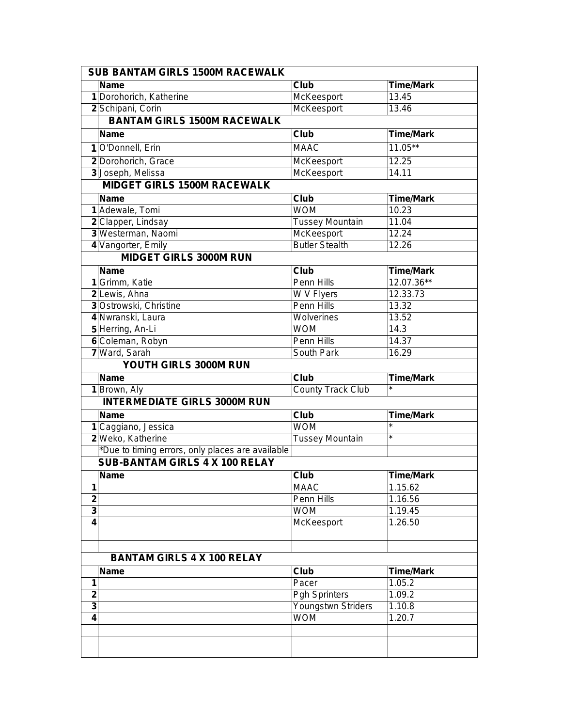|                  | <b>SUB BANTAM GIRLS 1500M RACEWALK</b>                                                    |                           |                    |  |  |  |
|------------------|-------------------------------------------------------------------------------------------|---------------------------|--------------------|--|--|--|
|                  | <b>Name</b>                                                                               | <b>Club</b>               | <b>Time/Mark</b>   |  |  |  |
|                  | 1 Dorohorich, Katherine                                                                   | McKeesport                | 13.45              |  |  |  |
|                  | 2 Schipani, Corin                                                                         | McKeesport                | 13.46              |  |  |  |
|                  | <b>BANTAM GIRLS 1500M RACEWALK</b>                                                        |                           |                    |  |  |  |
|                  | <b>Name</b>                                                                               | <b>Club</b>               | <b>Time/Mark</b>   |  |  |  |
|                  | 1 O'Donnell, Erin                                                                         | <b>MAAC</b>               | $11.05**$          |  |  |  |
|                  | 2 Dorohorich, Grace                                                                       | McKeesport                | 12.25              |  |  |  |
|                  | 3 Joseph, Melissa                                                                         | McKeesport                | 14.11              |  |  |  |
|                  | <b>MIDGET GIRLS 1500M RACEWALK</b>                                                        |                           |                    |  |  |  |
|                  | <b>Name</b>                                                                               | <b>Club</b>               | <b>Time/Mark</b>   |  |  |  |
|                  | 1 Adewale, Tomi                                                                           | <b>WOM</b>                | 10.23              |  |  |  |
|                  | 2 Clapper, Lindsay                                                                        | <b>Tussey Mountain</b>    | 11.04              |  |  |  |
|                  | 3 Westerman, Naomi                                                                        | McKeesport                | 12.24              |  |  |  |
|                  | 4 Vangorter, Emily                                                                        | <b>Butler Stealth</b>     | 12.26              |  |  |  |
|                  | <b>MIDGET GIRLS 3000M RUN</b>                                                             |                           |                    |  |  |  |
|                  | <b>Name</b>                                                                               | <b>Club</b>               | <b>Time/Mark</b>   |  |  |  |
|                  | 1 Grimm, Katie                                                                            | Penn Hills                | 12.07.36**         |  |  |  |
|                  | 2 Lewis, Ahna                                                                             | W V Flyers                | 12.33.73           |  |  |  |
|                  | 3 Ostrowski, Christine                                                                    | Penn Hills                | 13.32              |  |  |  |
|                  | 4 Nwranski, Laura                                                                         | Wolverines                | 13.52              |  |  |  |
|                  | 5 Herring, An-Li                                                                          | <b>WOM</b>                | 14.3               |  |  |  |
|                  | 6 Coleman, Robyn                                                                          | Penn Hills                | 14.37              |  |  |  |
|                  | 7 Ward, Sarah                                                                             | South Park                | 16.29              |  |  |  |
|                  | YOUTH GIRLS 3000M RUN                                                                     |                           |                    |  |  |  |
|                  | <b>Name</b>                                                                               | <b>Club</b>               |                    |  |  |  |
|                  |                                                                                           |                           |                    |  |  |  |
|                  |                                                                                           | <b>County Track Club</b>  | <b>Time/Mark</b>   |  |  |  |
|                  | 1 Brown, Aly<br><b>INTERMEDIATE GIRLS 3000M RUN</b>                                       |                           |                    |  |  |  |
|                  | <b>Name</b>                                                                               |                           |                    |  |  |  |
|                  |                                                                                           | <b>Club</b><br><b>WOM</b> | <b>Time/Mark</b>   |  |  |  |
|                  | 1 Caggiano, Jessica                                                                       |                           | $\star$            |  |  |  |
|                  | 2 Weko, Katherine                                                                         | <b>Tussey Mountain</b>    |                    |  |  |  |
|                  | *Due to timing errors, only places are available<br><b>SUB-BANTAM GIRLS 4 X 100 RELAY</b> |                           |                    |  |  |  |
|                  | <b>Name</b>                                                                               |                           |                    |  |  |  |
| 1                |                                                                                           | <b>Club</b>               | <b>Time/Mark</b>   |  |  |  |
|                  |                                                                                           | <b>MAAC</b>               | 1.15.62            |  |  |  |
| $\mathbf 2$<br>3 |                                                                                           | Penn Hills<br><b>WOM</b>  | 1.16.56<br>1.19.45 |  |  |  |
| 4                |                                                                                           | McKeesport                | 1.26.50            |  |  |  |
|                  |                                                                                           |                           |                    |  |  |  |
|                  |                                                                                           |                           |                    |  |  |  |
|                  | <b>BANTAM GIRLS 4 X 100 RELAY</b>                                                         |                           |                    |  |  |  |
|                  | <b>Name</b>                                                                               | Club                      | <b>Time/Mark</b>   |  |  |  |
| 1                |                                                                                           | Pacer                     | 1.05.2             |  |  |  |
| $\mathbf 2$      |                                                                                           | <b>Pgh Sprinters</b>      | 1.09.2             |  |  |  |
| 3                |                                                                                           | Youngstwn Striders        | 1.10.8             |  |  |  |
| 4                |                                                                                           | <b>WOM</b>                | 1.20.7             |  |  |  |
|                  |                                                                                           |                           |                    |  |  |  |
|                  |                                                                                           |                           |                    |  |  |  |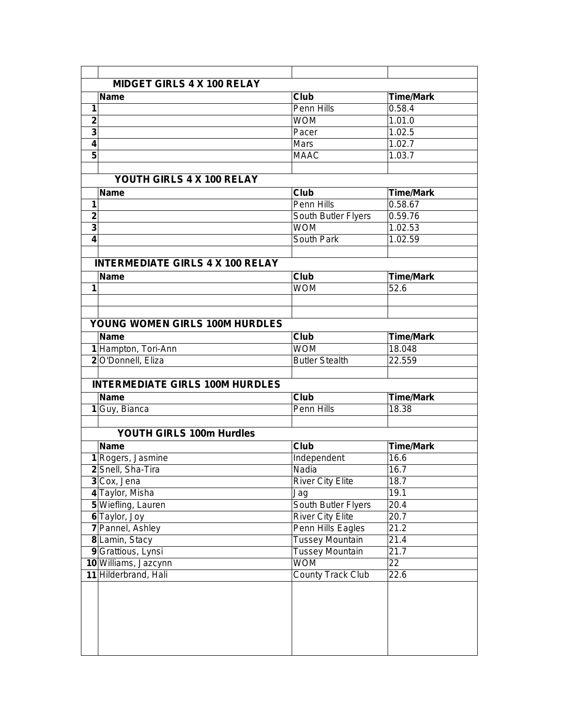|                | <b>MIDGET GIRLS 4 X 100 RELAY</b>       |                          |                  |
|----------------|-----------------------------------------|--------------------------|------------------|
|                | <b>Name</b>                             | Club                     | <b>Time/Mark</b> |
| 1              |                                         | Penn Hills               | 0.58.4           |
| $\mathbf 2$    |                                         | <b>WOM</b>               | 1.01.0           |
| 3              |                                         | Pacer                    | 1.02.5           |
| $\overline{4}$ |                                         | Mars                     | 1.02.7           |
| 5              |                                         | <b>MAAC</b>              | 1.03.7           |
|                |                                         |                          |                  |
|                | YOUTH GIRLS 4 X 100 RELAY               |                          |                  |
|                | <b>Name</b>                             | Club                     | <b>Time/Mark</b> |
| 1              |                                         | Penn Hills               | 0.58.67          |
| $\mathbf{2}$   |                                         | South Butler Flyers      | 0.59.76          |
| 3              |                                         | <b>WOM</b>               | 1.02.53          |
| 4              |                                         | South Park               | 1.02.59          |
|                |                                         |                          |                  |
|                | <b>INTERMEDIATE GIRLS 4 X 100 RELAY</b> |                          |                  |
|                | <b>Name</b>                             | Club                     | <b>Time/Mark</b> |
| 1              |                                         | <b>WOM</b>               | 52.6             |
|                |                                         |                          |                  |
|                |                                         |                          |                  |
|                | <b>YOUNG WOMEN GIRLS 100M HURDLES</b>   |                          |                  |
|                | <b>Name</b>                             | Club                     | <b>Time/Mark</b> |
|                | 1 Hampton, Tori-Ann                     | <b>WOM</b>               | 18.048           |
|                | 2 O'Donnell, Eliza                      | <b>Butler Stealth</b>    | 22.559           |
|                |                                         |                          |                  |
|                | <b>INTERMEDIATE GIRLS 100M HURDLES</b>  |                          |                  |
|                | <b>Name</b>                             | <b>Club</b>              | <b>Time/Mark</b> |
|                | 1 Guy, Bianca                           | Penn Hills               | 18.38            |
|                |                                         |                          |                  |
|                | YOUTH GIRLS 100m Hurdles                |                          |                  |
|                |                                         |                          |                  |
|                | <b>Name</b>                             | Club                     | <b>Time/Mark</b> |
|                | 1 Rogers, Jasmine                       | Independent              | 16.6             |
|                | 2 Snell, Sha-Tira                       | Nadia                    | 16.7             |
|                | 3 Cox, Jena                             | <b>River City Elite</b>  | 18.7             |
|                | 4 Taylor, Misha                         | Jag                      | 19.1             |
|                | 5 Wiefling, Lauren                      | South Butler Flyers      | 20.4             |
|                | 6 Taylor, Joy                           | <b>River City Elite</b>  | 20.7             |
|                | 7 Pannel, Ashley                        | Penn Hills Eagles        | 21.2             |
|                | 8 Lamin, Stacy                          | <b>Tussey Mountain</b>   | 21.4             |
|                | 9 Grattious, Lynsi                      | <b>Tussey Mountain</b>   | 21.7             |
|                | 10 Williams, Jazcynn                    | <b>WOM</b>               | 22               |
|                | 11 Hilderbrand, Hali                    | <b>County Track Club</b> | 22.6             |
|                |                                         |                          |                  |
|                |                                         |                          |                  |
|                |                                         |                          |                  |
|                |                                         |                          |                  |
|                |                                         |                          |                  |
|                |                                         |                          |                  |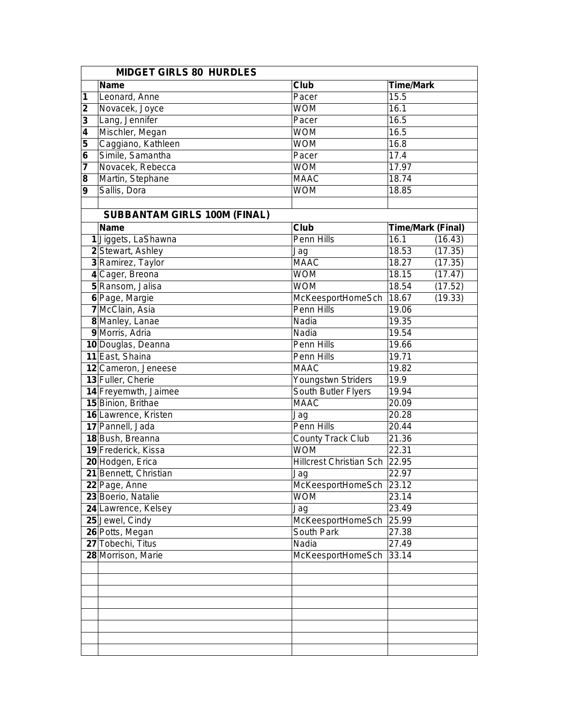|                  | <b>MIDGET GIRLS 80 HURDLES</b>      |                               |                          |  |  |
|------------------|-------------------------------------|-------------------------------|--------------------------|--|--|
|                  | <b>Name</b>                         | Club                          | <b>Time/Mark</b>         |  |  |
| 1                | Leonard, Anne                       | Pacer                         | 15.5                     |  |  |
| $\mathbf{2}$     | Novacek, Joyce                      | <b>WOM</b>                    | 16.1                     |  |  |
| 3                | Lang, Jennifer                      | Pacer                         | 16.5                     |  |  |
| 4                | Mischler, Megan                     | <b>WOM</b>                    | 16.5                     |  |  |
| 5                | Caggiano, Kathleen                  | <b>WOM</b>                    | 16.8                     |  |  |
| 6                | Simile, Samantha                    | Pacer                         | 17.4                     |  |  |
| 7                | Novacek, Rebecca                    | <b>WOM</b>                    | 17.97                    |  |  |
| 8                | Martin, Stephane                    | <b>MAAC</b>                   | 18.74                    |  |  |
| $\boldsymbol{9}$ | Sallis, Dora                        | <b>WOM</b>                    | 18.85                    |  |  |
|                  |                                     |                               |                          |  |  |
|                  | <b>SUBBANTAM GIRLS 100M (FINAL)</b> |                               |                          |  |  |
|                  | <b>Name</b>                         | <b>Club</b>                   | <b>Time/Mark (Final)</b> |  |  |
|                  | 1 Jiggets, LaShawna                 | Penn Hills                    | 16.1<br>(16.43)          |  |  |
|                  | 2 Stewart, Ashley                   | Jag                           | 18.53<br>(17.35)         |  |  |
|                  | 3 Ramirez, Taylor                   | <b>MAAC</b>                   | 18.27<br>(17.35)         |  |  |
|                  | 4 Cager, Breona                     | <b>WOM</b>                    | 18.15<br>(17.47)         |  |  |
|                  | 5 Ransom, Jalisa                    | <b>WOM</b>                    | 18.54<br>(17.52)         |  |  |
|                  | 6 Page, Margie                      | McKeesportHomeSch             | 18.67<br>(19.33)         |  |  |
|                  | 7 McClain, Asia                     | Penn Hills                    | 19.06                    |  |  |
|                  | 8 Manley, Lanae                     | Nadia                         | 19.35                    |  |  |
|                  | 9 Morris, Adria                     | Nadia                         | 19.54                    |  |  |
|                  | 10 Douglas, Deanna                  | Penn Hills                    | 19.66                    |  |  |
|                  | 11 East, Shaina                     | Penn Hills                    | 19.71                    |  |  |
|                  | 12 Cameron, Jeneese                 | <b>MAAC</b>                   | 19.82                    |  |  |
|                  | 13 Fuller, Cherie                   | Youngstwn Striders            | 19.9                     |  |  |
|                  | 14 Freyemwth, Jaimee                | South Butler Flyers           | 19.94                    |  |  |
|                  | 15 Binion, Brithae                  | <b>MAAC</b>                   | 20.09                    |  |  |
|                  | 16 Lawrence, Kristen                | Jag                           | 20.28                    |  |  |
|                  | 17 Pannell, Jada                    | Penn Hills                    | 20.44                    |  |  |
|                  | 18 Bush, Breanna                    | <b>County Track Club</b>      | 21.36                    |  |  |
|                  | 19 Frederick, Kissa                 | <b>WOM</b>                    | 22.31                    |  |  |
|                  | 20 Hodgen, Erica                    | Hillcrest Christian Sch 22.95 |                          |  |  |
|                  | 21 Bennett, Christian               | Jag                           | 22.97                    |  |  |
|                  | 22 Page, Anne                       | McKeesportHomeSch 23.12       |                          |  |  |
|                  | 23 Boerio, Natalie                  | <b>WOM</b>                    | 23.14                    |  |  |
|                  | 24 Lawrence, Kelsey                 | Jag                           | 23.49                    |  |  |
|                  | 25 Jewel, Cindy                     | McKeesportHomeSch             | 25.99                    |  |  |
|                  | 26 Potts, Megan                     | South Park                    | 27.38                    |  |  |
|                  | 27 Tobechi, Titus                   | Nadia                         | 27.49                    |  |  |
|                  | 28 Morrison, Marie                  | McKeesportHomeSch             | 33.14                    |  |  |
|                  |                                     |                               |                          |  |  |
|                  |                                     |                               |                          |  |  |
|                  |                                     |                               |                          |  |  |
|                  |                                     |                               |                          |  |  |
|                  |                                     |                               |                          |  |  |
|                  |                                     |                               |                          |  |  |
|                  |                                     |                               |                          |  |  |
|                  |                                     |                               |                          |  |  |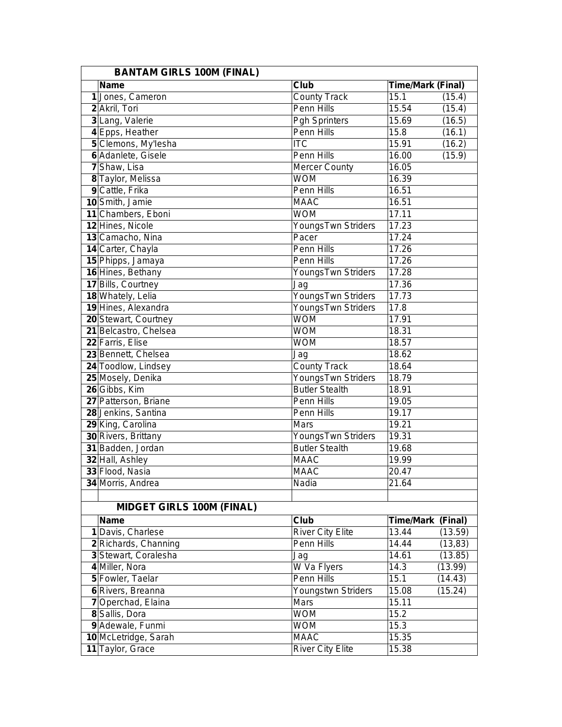| <b>BANTAM GIRLS 100M (FINAL)</b> |                         |                          |          |  |
|----------------------------------|-------------------------|--------------------------|----------|--|
| <b>Name</b>                      | Club                    | <b>Time/Mark (Final)</b> |          |  |
| 1 Jones, Cameron                 | <b>County Track</b>     | 15.1                     | (15.4)   |  |
| 2 Akril, Tori                    | Penn Hills              | 15.54                    | (15.4)   |  |
| 3 Lang, Valerie                  | <b>Pgh Sprinters</b>    | 15.69                    | (16.5)   |  |
| 4 Epps, Heather                  | Penn Hills              | 15.8                     | (16.1)   |  |
| 5 Clemons, My'lesha              | $\overline{\text{ITC}}$ | 15.91                    | (16.2)   |  |
| 6 Adanlete, Gisele               | Penn Hills              | 16.00                    | (15.9)   |  |
| 7 Shaw, Lisa                     | <b>Mercer County</b>    | 16.05                    |          |  |
| 8 Taylor, Melissa                | <b>WOM</b>              | 16.39                    |          |  |
| 9 Cattle, Frika                  | Penn Hills              | 16.51                    |          |  |
| 10 Smith, Jamie                  | <b>MAAC</b>             | 16.51                    |          |  |
| 11 Chambers, Eboni               | <b>WOM</b>              | 17.11                    |          |  |
| 12 Hines, Nicole                 | YoungsTwn Striders      | 17.23                    |          |  |
| 13 Camacho, Nina                 | Pacer                   | 17.24                    |          |  |
| 14 Carter, Chayla                | Penn Hills              | 17.26                    |          |  |
| 15 Phipps, Jamaya                | Penn Hills              | 17.26                    |          |  |
| 16 Hines, Bethany                | YoungsTwn Striders      | 17.28                    |          |  |
| 17 Bills, Courtney               | Jag                     | 17.36                    |          |  |
| 18 Whately, Lelia                | YoungsTwn Striders      | 17.73                    |          |  |
| 19 Hines, Alexandra              | YoungsTwn Striders      | 17.8                     |          |  |
| 20 Stewart, Courtney             | <b>WOM</b>              | 17.91                    |          |  |
| 21 Belcastro, Chelsea            | <b>WOM</b>              | 18.31                    |          |  |
| 22 Farris, Elise                 | <b>WOM</b>              | 18.57                    |          |  |
| 23 Bennett, Chelsea              | Jag                     | 18.62                    |          |  |
| 24 Toodlow, Lindsey              | <b>County Track</b>     | 18.64                    |          |  |
| 25 Mosely, Denika                | YoungsTwn Striders      | 18.79                    |          |  |
| 26 Gibbs, Kim                    | <b>Butler Stealth</b>   | 18.91                    |          |  |
| 27 Patterson, Briane             | Penn Hills              | 19.05                    |          |  |
| 28 Jenkins, Santina              | Penn Hills              | 19.17                    |          |  |
| 29 King, Carolina                | Mars                    | 19.21                    |          |  |
| 30 Rivers, Brittany              | YoungsTwn Striders      | 19.31                    |          |  |
| 31 Badden, Jordan                | <b>Butler Stealth</b>   | 19.68                    |          |  |
| 32 Hall, Ashley                  | <b>MAAC</b>             | 19.99                    |          |  |
| 33 Flood, Nasia                  | <b>MAAC</b>             | 20.47                    |          |  |
| 34 Morris, Andrea                | <b>Nadia</b>            | 21.64                    |          |  |
|                                  |                         |                          |          |  |
| <b>MIDGET GIRLS 100M (FINAL)</b> |                         |                          |          |  |
| <b>Name</b>                      | Club                    | Time/Mark (Final)        |          |  |
| 1 Davis, Charlese                | <b>River City Elite</b> | 13.44                    | (13.59)  |  |
| 2 Richards, Channing             | Penn Hills              | 14.44                    | (13, 83) |  |
| 3 Stewart, Coralesha             | Jag                     | 14.61                    | (13.85)  |  |
| 4 Miller, Nora                   | W Va Flyers             | 14.3                     | (13.99)  |  |
| 5 Fowler, Taelar                 | Penn Hills              | 15.1                     | (14.43)  |  |
| 6 Rivers, Breanna                | Youngstwn Striders      | 15.08                    | (15.24)  |  |
| 7 Operchad, Elaina               | Mars                    | 15.11                    |          |  |
| 8 Sallis, Dora                   | <b>WOM</b>              | 15.2                     |          |  |
| 9 Adewale, Funmi                 | <b>WOM</b>              | 15.3                     |          |  |
| 10 McLetridge, Sarah             | <b>MAAC</b>             | 15.35                    |          |  |
| 11 Taylor, Grace                 | <b>River City Elite</b> | 15.38                    |          |  |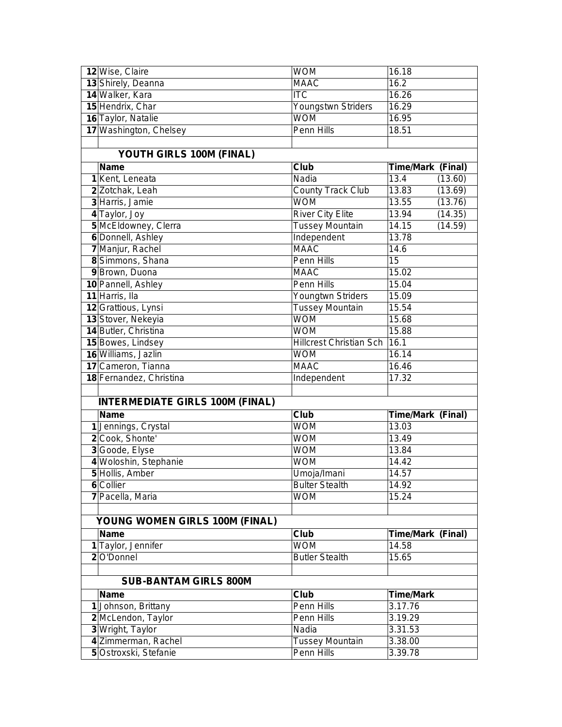| 12 Wise, Claire                              | <b>WOM</b>                           | 16.18                         |
|----------------------------------------------|--------------------------------------|-------------------------------|
| 13 Shirely, Deanna                           | <b>MAAC</b>                          | 16.2                          |
| 14 Walker, Kara                              | <b>ITC</b>                           | 16.26                         |
| 15 Hendrix, Char                             | Youngstwn Striders                   | 16.29                         |
| 16 Taylor, Natalie                           | <b>WOM</b>                           | 16.95                         |
| 17 Washington, Chelsey                       | Penn Hills                           | 18.51                         |
|                                              |                                      |                               |
| YOUTH GIRLS 100M (FINAL)                     |                                      |                               |
| <b>Name</b>                                  | Club                                 | Time/Mark (Final)             |
| 1 Kent, Leneata                              | Nadia                                | 13.4<br>(13.60)               |
| 2 Zotchak, Leah                              | <b>County Track Club</b>             | $13.\overline{83}$<br>(13.69) |
| 3 Harris, Jamie                              | <b>WOM</b>                           | 13.55<br>(13.76)              |
| 4 Taylor, Joy                                | <b>River City Elite</b>              | 13.94<br>(14.35)              |
| 5 McEldowney, Clerra                         | <b>Tussey Mountain</b>               | 14.15<br>(14.59)              |
| 6 Donnell, Ashley                            | Independent                          | 13.78                         |
| 7 Manjur, Rachel                             | <b>MAAC</b>                          | 14.6                          |
| 8 Simmons, Shana                             | Penn Hills                           | $\overline{15}$               |
| 9 Brown, Duona                               | <b>MAAC</b>                          | 15.02                         |
| 10 Pannell, Ashley                           | Penn Hills                           | 15.04                         |
| 11 Harris, Ila                               | Youngtwn Striders                    | 15.09                         |
| 12 Grattious, Lynsi                          | <b>Tussey Mountain</b>               | 15.54                         |
| 13 Stover, Nekeyia                           | <b>WOM</b>                           | 15.68                         |
| 14 Butler, Christina                         | <b>WOM</b>                           | 15.88                         |
| 15 Bowes, Lindsey                            | <b>Hillcrest Christian Sch</b>       | 16.1                          |
| 16 Williams, Jazlin                          | <b>WOM</b>                           | 16.14                         |
| 17 Cameron, Tianna                           | <b>MAAC</b>                          | 16.46                         |
| 18 Fernandez, Christina                      | Independent                          | 17.32                         |
|                                              |                                      |                               |
| <b>INTERMEDIATE GIRLS 100M (FINAL)</b>       |                                      |                               |
| <b>Name</b>                                  | Club                                 | Time/Mark (Final)             |
| 1 Jennings, Crystal                          | <b>WOM</b>                           | 13.03                         |
| 2 Cook, Shonte'                              | <b>WOM</b>                           | 13.49                         |
| 3 Goode, Elyse                               | <b>WOM</b>                           | 13.84                         |
| 4 Woloshin, Stephanie                        | <b>WOM</b>                           | 14.42                         |
| 5 Hollis, Amber                              | Umoja/Imani                          | 14.57                         |
| 6 Collier                                    | <b>Bulter Stealth</b>                | 14.92                         |
| 7 Pacella, Maria                             | <b>WOM</b>                           | 15.24                         |
|                                              |                                      |                               |
| YOUNG WOMEN GIRLS 100M (FINAL)               |                                      |                               |
| <b>Name</b>                                  | Club                                 | Time/Mark (Final)             |
| 1 Taylor, Jennifer                           | <b>WOM</b>                           | 14.58                         |
| 2 O'Donnel                                   | <b>Butler Stealth</b>                | 15.65                         |
|                                              |                                      |                               |
| <b>SUB-BANTAM GIRLS 800M</b>                 |                                      |                               |
| <b>Name</b>                                  | Club                                 | <b>Time/Mark</b>              |
| 1 Johnson, Brittany                          | Penn Hills                           | 3.17.76                       |
| 2 McLendon, Taylor                           | Penn Hills                           | 3.19.29                       |
|                                              |                                      |                               |
| 3 Wright, Taylor                             | Nadia                                | 3.31.53                       |
| 4 Zimmerman, Rachel<br>5 Ostroxski, Stefanie | <b>Tussey Mountain</b><br>Penn Hills | 3.38.00<br>3.39.78            |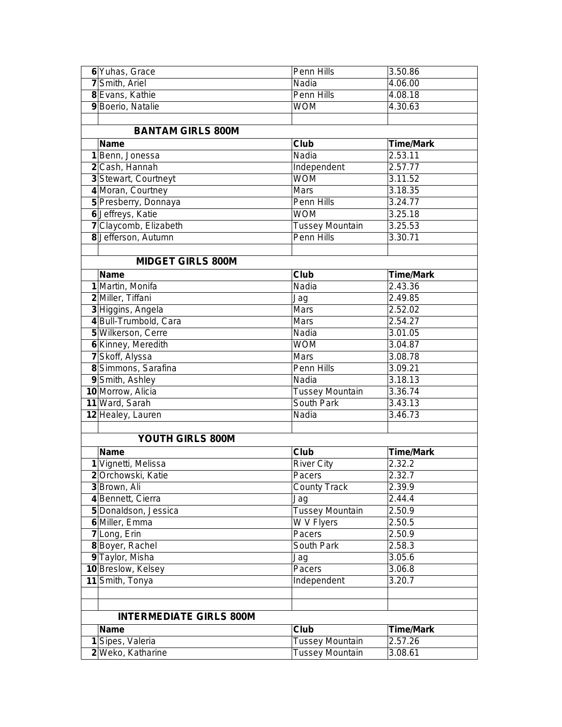| 6 Yuhas, Grace                 | Penn Hills             | 3.50.86          |
|--------------------------------|------------------------|------------------|
| 7 Smith, Ariel                 | Nadia                  | 4.06.00          |
| 8 Evans, Kathie                | Penn Hills             | 4.08.18          |
| 9 Boerio, Natalie              | <b>WOM</b>             | 4.30.63          |
|                                |                        |                  |
| <b>BANTAM GIRLS 800M</b>       |                        |                  |
| <b>Name</b>                    | Club                   | <b>Time/Mark</b> |
| 1 Benn, Jonessa                | Nadia                  | 2.53.11          |
| 2 Cash, Hannah                 | Independent            | 2.57.77          |
| 3 Stewart, Courtneyt           | <b>WOM</b>             | 3.11.52          |
| 4 Moran, Courtney              | Mars                   | 3.18.35          |
| 5 Presberry, Donnaya           | Penn Hills             | 3.24.77          |
| 6 Jeffreys, Katie              | <b>WOM</b>             | 3.25.18          |
| 7 Claycomb, Elizabeth          | <b>Tussey Mountain</b> | 3.25.53          |
| 8 Jefferson, Autumn            | <b>Penn Hills</b>      | 3.30.71          |
|                                |                        |                  |
| <b>MIDGET GIRLS 800M</b>       |                        |                  |
| <b>Name</b>                    | Club                   | <b>Time/Mark</b> |
| 1 Martin, Monifa               | Nadia                  | 2.43.36          |
| 2 Miller, Tiffani              | Jag                    | 2.49.85          |
| 3 Higgins, Angela              | Mars                   | 2.52.02          |
| 4 Bull-Trumbold, Cara          | <b>Mars</b>            | 2.54.27          |
| 5 Wilkerson, Cerre             | Nadia                  | 3.01.05          |
| 6 Kinney, Meredith             | <b>WOM</b>             | 3.04.87          |
| 7 Skoff, Alyssa                | <b>Mars</b>            | 3.08.78          |
| 8 Simmons, Sarafina            | Penn Hills             | 3.09.21          |
| 9 Smith, Ashley                | Nadia                  | 3.18.13          |
| 10 Morrow, Alicia              | <b>Tussey Mountain</b> | 3.36.74          |
| 11 Ward, Sarah                 | South Park             | 3.43.13          |
| 12 Healey, Lauren              | Nadia                  | 3.46.73          |
|                                |                        |                  |
| YOUTH GIRLS 800M               |                        |                  |
| <b>Name</b>                    | <b>Club</b>            | <b>Time/Mark</b> |
| 1 Vignetti, Melissa            | <b>River City</b>      | 2.32.2           |
| 2 Orchowski, Katie             | Pacers                 | 2.32.7           |
| 3 Brown, Ali                   | <b>County Track</b>    | 2.39.9           |
| 4 Bennett, Cierra              | Jag                    | 2.44.4           |
| 5 Donaldson, Jessica           | <b>Tussey Mountain</b> | 2.50.9           |
| 6 Miller, Emma                 | W V Flyers             | 2.50.5           |
| 7 Long, Erin                   | Pacers                 | 2.50.9           |
| 8 Boyer, Rachel                | South Park             | 2.58.3           |
| 9 Taylor, Misha                | Jag                    | 3.05.6           |
| 10 Breslow, Kelsey             | Pacers                 | 3.06.8           |
| 11 Smith, Tonya                | Independent            | 3.20.7           |
|                                |                        |                  |
|                                |                        |                  |
| <b>INTERMEDIATE GIRLS 800M</b> |                        |                  |
| <b>Name</b>                    | Club                   | <b>Time/Mark</b> |
| 1 Sipes, Valeria               | <b>Tussey Mountain</b> | 2.57.26          |
| 2 Weko, Katharine              | <b>Tussey Mountain</b> | 3.08.61          |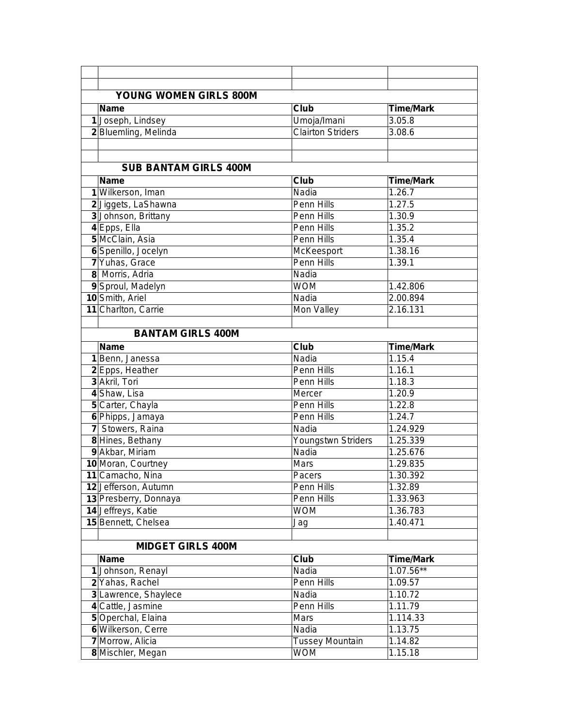| <b>YOUNG WOMEN GIRLS 800M</b> |                          |                  |  |  |  |
|-------------------------------|--------------------------|------------------|--|--|--|
| <b>Name</b>                   | Club                     | <b>Time/Mark</b> |  |  |  |
| 1 Joseph, Lindsey             | Umoja/Imani              | 3.05.8           |  |  |  |
| 2 Bluemling, Melinda          | <b>Clairton Striders</b> | 3.08.6           |  |  |  |
|                               |                          |                  |  |  |  |
|                               |                          |                  |  |  |  |
| <b>SUB BANTAM GIRLS 400M</b>  |                          |                  |  |  |  |
| <b>Name</b>                   | Club                     | <b>Time/Mark</b> |  |  |  |
| 1 Wilkerson, Iman             | Nadia                    | 1.26.7           |  |  |  |
| 2 Jiggets, LaShawna           | Penn Hills               | 1.27.5           |  |  |  |
| 3 Johnson, Brittany           | Penn Hills               | 1.30.9           |  |  |  |
| 4 Epps, Ella                  | Penn Hills               | 1.35.2           |  |  |  |
| 5 McClain, Asia               | Penn Hills               | 1.35.4           |  |  |  |
| 6 Spenillo, Jocelyn           | McKeesport               | 1.38.16          |  |  |  |
| 7 Yuhas, Grace                | Penn Hills               | 1.39.1           |  |  |  |
| 8 Morris, Adria               | Nadia                    |                  |  |  |  |
| 9 Sproul, Madelyn             | <b>WOM</b>               | 1.42.806         |  |  |  |
| 10 Smith, Ariel               | Nadia                    | 2.00.894         |  |  |  |
| 11 Charlton, Carrie           | Mon Valley               | 2.16.131         |  |  |  |
|                               |                          |                  |  |  |  |
| <b>BANTAM GIRLS 400M</b>      |                          |                  |  |  |  |
| <b>Name</b>                   | Club                     | <b>Time/Mark</b> |  |  |  |
| 1 Benn, Janessa               | Nadia                    | 1.15.4           |  |  |  |
| 2 Epps, Heather               | Penn Hills               | 1.16.1           |  |  |  |
| 3 Akril, Tori                 | Penn Hills               | 1.18.3           |  |  |  |
| 4 Shaw, Lisa                  | Mercer                   | 1.20.9           |  |  |  |
| 5 Carter, Chayla              | Penn Hills               | 1.22.8           |  |  |  |
| 6 Phipps, Jamaya              | Penn Hills               | 1.24.7           |  |  |  |
| 7 Stowers, Raina              | Nadia                    | 1.24.929         |  |  |  |
| 8 Hines, Bethany              | Youngstwn Striders       | 1.25.339         |  |  |  |
| 9 Akbar, Miriam               | Nadia                    | 1.25.676         |  |  |  |
| 10 Moran, Courtney            | Mars                     | 1.29.835         |  |  |  |
| 11 Camacho, Nina              | Pacers                   | 1.30.392         |  |  |  |
| 12 Jefferson, Autumn          | Penn Hills               | 1.32.89          |  |  |  |
| 13 Presberry, Donnaya         | Penn Hills               | 1.33.963         |  |  |  |
| 14 Jeffreys, Katie            | <b>WOM</b>               | 1.36.783         |  |  |  |
| 15 Bennett, Chelsea           | Jag                      | 1.40.471         |  |  |  |
|                               |                          |                  |  |  |  |
| <b>MIDGET GIRLS 400M</b>      |                          |                  |  |  |  |
| <b>Name</b>                   | Club                     | <b>Time/Mark</b> |  |  |  |
| 1 Johnson, Renayl             | Nadia                    | 1.07.56**        |  |  |  |
| 2 Yahas, Rachel               | Penn Hills               | 1.09.57          |  |  |  |
| 3 Lawrence, Shaylece          | Nadia                    | 1.10.72          |  |  |  |
| 4 Cattle, Jasmine             | Penn Hills               | 1.11.79          |  |  |  |
| 5 Operchal, Elaina            | Mars                     | 1.114.33         |  |  |  |
| 6 Wilkerson, Cerre            | Nadia                    | 1.13.75          |  |  |  |
| 7 Morrow, Alicia              | <b>Tussey Mountain</b>   | 1.14.82          |  |  |  |
| 8 Mischler, Megan             | <b>WOM</b>               | 1.15.18          |  |  |  |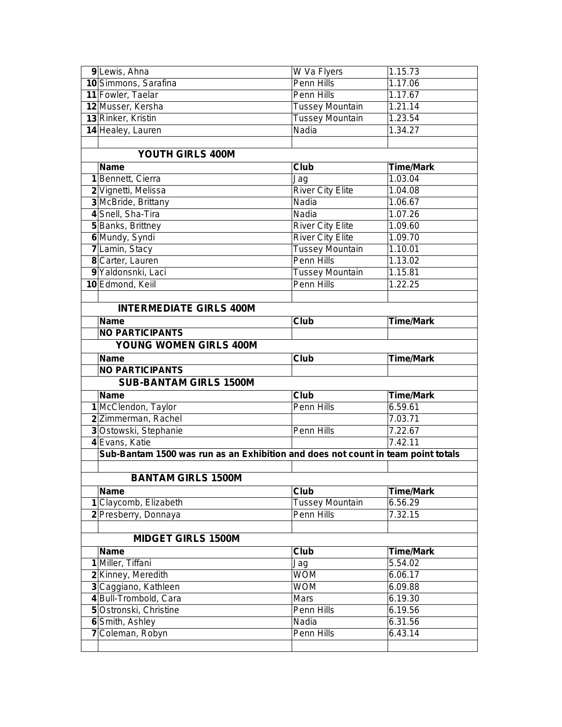| 9 Lewis, Ahna                                                                    | W Va Flyers                   | 1.15.73                     |
|----------------------------------------------------------------------------------|-------------------------------|-----------------------------|
| 10 Simmons, Sarafina                                                             | Penn Hills                    | 1.17.06                     |
| 11 Fowler, Taelar                                                                | Penn Hills                    | 1.17.67                     |
| 12 Musser, Kersha                                                                | <b>Tussey Mountain</b>        | 1.21.14                     |
| 13 Rinker, Kristin                                                               | <b>Tussey Mountain</b>        | 1.23.54                     |
| 14 Healey, Lauren                                                                | Nadia                         | 1.34.27                     |
|                                                                                  |                               |                             |
| YOUTH GIRLS 400M                                                                 |                               |                             |
| <b>Name</b>                                                                      | Club                          | <b>Time/Mark</b>            |
| 1 Bennett, Cierra                                                                | Jag                           | 1.03.04                     |
| 2 Vignetti, Melissa                                                              | <b>River City Elite</b>       | 1.04.08                     |
| 3 McBride, Brittany                                                              | Nadia                         | 1.06.67                     |
| 4 Snell, Sha-Tira                                                                | Nadia                         | 1.07.26                     |
| 5 Banks, Brittney                                                                | <b>River City Elite</b>       | 1.09.60                     |
| 6 Mundy, Syndi                                                                   | <b>River City Elite</b>       | 1.09.70                     |
| 7 Lamin, Stacy                                                                   | <b>Tussey Mountain</b>        | 1.10.01                     |
| 8 Carter, Lauren                                                                 | <b>Penn Hills</b>             | 1.13.02                     |
| 9 Yaldonsnki, Laci                                                               | <b>Tussey Mountain</b>        | 1.15.81                     |
| 10 Edmond, Keiil                                                                 | Penn Hills                    | 1.22.25                     |
|                                                                                  |                               |                             |
| <b>INTERMEDIATE GIRLS 400M</b>                                                   |                               |                             |
| <b>Name</b>                                                                      | <b>Club</b>                   | <b>Time/Mark</b>            |
| <b>NO PARTICIPANTS</b>                                                           |                               |                             |
| <b>YOUNG WOMEN GIRLS 400M</b>                                                    |                               |                             |
| <b>Name</b>                                                                      |                               | <b>Time/Mark</b>            |
|                                                                                  |                               |                             |
|                                                                                  | Club                          |                             |
| <b>NO PARTICIPANTS</b>                                                           |                               |                             |
| <b>SUB-BANTAM GIRLS 1500M</b>                                                    |                               |                             |
| <b>Name</b>                                                                      | Club                          | <b>Time/Mark</b>            |
| 1 McClendon, Taylor                                                              | Penn Hills                    | 6.59.61                     |
| 2 Zimmerman, Rachel                                                              |                               | 7.03.71                     |
| 3 Ostowski, Stephanie                                                            | Penn Hills                    | 7.22.67<br>7.42.11          |
| 4 Evans, Katie                                                                   |                               |                             |
| Sub-Bantam 1500 was run as an Exhibition and does not count in team point totals |                               |                             |
| <b>BANTAM GIRLS 1500M</b>                                                        |                               |                             |
| <b>Name</b>                                                                      | Club                          | <b>Time/Mark</b>            |
|                                                                                  |                               | 6.56.29                     |
| 1 Claycomb, Elizabeth                                                            | Tussey Mountain<br>Penn Hills | 7.32.15                     |
| 2 Presberry, Donnaya                                                             |                               |                             |
| <b>MIDGET GIRLS 1500M</b>                                                        |                               |                             |
| <b>Name</b>                                                                      | Club                          |                             |
| 1 Miller, Tiffani                                                                | Jag                           | <b>Time/Mark</b><br>5.54.02 |
| 2 Kinney, Meredith                                                               | <b>WOM</b>                    | 6.06.17                     |
| 3 Caggiano, Kathleen                                                             | <b>WOM</b>                    | 6.09.88                     |
| 4 Bull-Trombold, Cara                                                            | Mars                          | 6.19.30                     |
| 5 Ostronski, Christine                                                           | Penn Hills                    | 6.19.56                     |
| 6 Smith, Ashley                                                                  | Nadia                         | 6.31.56                     |
| 7 Coleman, Robyn                                                                 | Penn Hills                    | 6.43.14                     |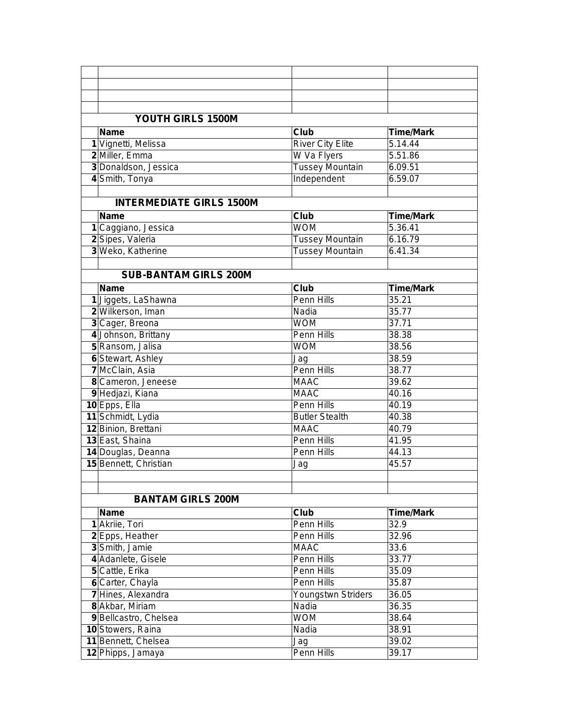| YOUTH GIRLS 1500M               |                            |                  |
|---------------------------------|----------------------------|------------------|
| <b>Name</b>                     | Club                       | <b>Time/Mark</b> |
| 1 Vignetti, Melissa             | <b>River City Elite</b>    | 5.14.44          |
| 2 Miller, Emma                  | W Va Flyers                | 5.51.86          |
| 3 Donaldson, Jessica            | <b>Tussey Mountain</b>     | 6.09.51          |
| 4 Smith, Tonya                  | Independent                | 6.59.07          |
|                                 |                            |                  |
| <b>INTERMEDIATE GIRLS 1500M</b> |                            |                  |
| <b>Name</b>                     | Club                       | <b>Time/Mark</b> |
| 1 Caggiano, Jessica             | <b>WOM</b>                 | 5.36.41          |
| 2 Sipes, Valeria                | <b>Tussey Mountain</b>     | 6.16.79          |
| 3 Weko, Katherine               | <b>Tussey Mountain</b>     | 6.41.34          |
|                                 |                            |                  |
| <b>SUB-BANTAM GIRLS 200M</b>    |                            |                  |
|                                 |                            | <b>Time/Mark</b> |
| Name                            | Club<br><b>Penn Hills</b>  | 35.21            |
| 1 Jiggets, LaShawna             |                            |                  |
| 2 Wilkerson, Iman               | Nadia<br><b>WOM</b>        | 35.77<br>37.71   |
| 3 Cager, Breona                 |                            |                  |
| 4 Johnson, Brittany             | Penn Hills                 | 38.38            |
| 5 Ransom, Jalisa                | <b>WOM</b>                 | 38.56            |
| 6 Stewart, Ashley               | Jag<br><b>Penn Hills</b>   | 38.59<br>38.77   |
| 7 McClain, Asia                 |                            |                  |
| 8 Cameron, Jeneese              | <b>MAAC</b><br><b>MAAC</b> | 39.62<br>40.16   |
| 9 Hedjazi, Kiana                |                            |                  |
| 10 Epps, Ella                   | Penn Hills                 | 40.19            |
| 11 Schmidt, Lydia               | <b>Butler Stealth</b>      | 40.38            |
| 12 Binion, Brettani             | <b>MAAC</b>                | 40.79            |
| 13 East, Shaina                 | Penn Hills                 | 41.95            |
| 14 Douglas, Deanna              | Penn Hills                 | 44.13            |
| 15 Bennett, Christian           | Jag                        | 45.57            |
|                                 |                            |                  |
|                                 |                            |                  |
| <b>BANTAM GIRLS 200M</b>        |                            |                  |
| <b>Name</b>                     | Club                       | <b>Time/Mark</b> |
| 1 Akriie, Tori                  | Penn Hills                 | 32.9             |
| 2 Epps, Heather                 | Penn Hills                 | 32.96            |
| 3 Smith, Jamie                  | <b>MAAC</b>                | 33.6             |
| 4 Adanlete, Gisele              | Penn Hills                 | 33.77            |
| 5 Cattle, Erika                 | Penn Hills                 | 35.09            |
| 6 Carter, Chayla                | Penn Hills                 | 35.87            |
| 7 Hines, Alexandra              | Youngstwn Striders         | 36.05            |
| 8 Akbar, Miriam                 | Nadia                      | 36.35            |
| 9 Bellcastro, Chelsea           | <b>WOM</b>                 | 38.64            |
| 10 Stowers, Raina               | Nadia                      | 38.91            |
| 11 Bennett, Chelsea             | Jag                        | 39.02            |
| 12 Phipps, Jamaya               | Penn Hills                 | 39.17            |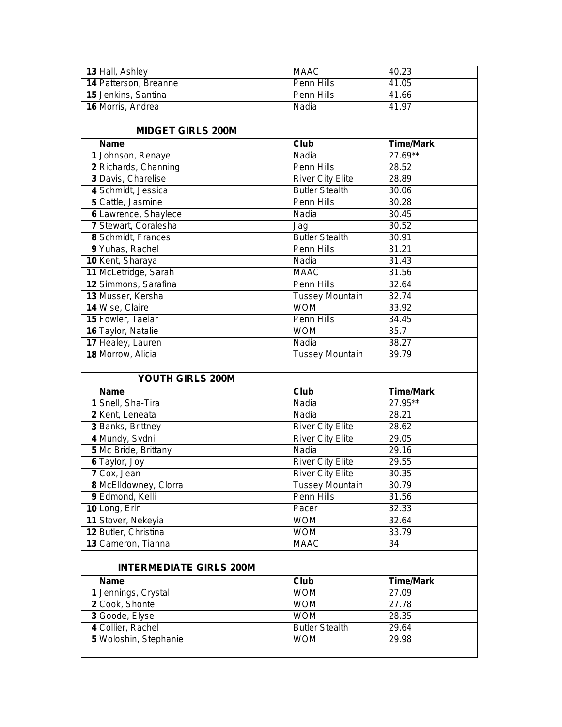| 13 Hall, Ashley                | <b>MAAC</b>             | 40.23            |
|--------------------------------|-------------------------|------------------|
| 14 Patterson, Breanne          | Penn Hills              | 41.05            |
| 15 Jenkins, Santina            | Penn Hills              | 41.66            |
| 16 Morris, Andrea              | Nadia                   | 41.97            |
|                                |                         |                  |
| <b>MIDGET GIRLS 200M</b>       |                         |                  |
| <b>Name</b>                    | Club                    | <b>Time/Mark</b> |
| 1 Johnson, Renaye              | Nadia                   | 27.69**          |
| 2 Richards, Channing           | Penn Hills              | 28.52            |
| 3 Davis, Charelise             | <b>River City Elite</b> | 28.89            |
| 4 Schmidt, Jessica             | <b>Butler Stealth</b>   | 30.06            |
| 5 Cattle, Jasmine              | Penn Hills              | 30.28            |
| 6 Lawrence, Shaylece           | Nadia                   | 30.45            |
| 7 Stewart, Coralesha           | Jag                     | 30.52            |
| 8 Schmidt, Frances             | <b>Butler Stealth</b>   | 30.91            |
| 9 Yuhas, Rachel                | Penn Hills              | 31.21            |
| 10 Kent, Sharaya               | Nadia                   | 31.43            |
| 11 McLetridge, Sarah           | <b>MAAC</b>             | 31.56            |
| 12 Simmons, Sarafina           | Penn Hills              | 32.64            |
| 13 Musser, Kersha              | <b>Tussey Mountain</b>  | 32.74            |
| 14 Wise, Claire                | <b>WOM</b>              | 33.92            |
| 15 Fowler, Taelar              | Penn Hills              | 34.45            |
| 16 Taylor, Natalie             | <b>WOM</b>              | 35.7             |
| 17 Healey, Lauren              | Nadia                   | 38.27            |
| 18 Morrow, Alicia              | <b>Tussey Mountain</b>  | 39.79            |
|                                |                         |                  |
|                                |                         |                  |
| YOUTH GIRLS 200M               |                         |                  |
| <b>Name</b>                    | Club                    | <b>Time/Mark</b> |
| 1 Snell, Sha-Tira              | Nadia                   | 27.95**          |
| 2 Kent, Leneata                | Nadia                   | 28.21            |
| 3 Banks, Brittney              | <b>River City Elite</b> | 28.62            |
| 4 Mundy, Sydni                 | <b>River City Elite</b> | 29.05            |
| 5 Mc Bride, Brittany           | Nadia                   | 29.16            |
| 6 Taylor, Joy                  | <b>River City Elite</b> | 29.55            |
| 7 Cox, Jean                    | <b>River City Elite</b> | 30.35            |
| 8 McElldowney, Clorra          | <b>Tussey Mountain</b>  | 30.79            |
| 9 Edmond, Kelli                | Penn Hills              | 31.56            |
| 10 Long, Erin                  | Pacer                   | 32.33            |
| 11 Stover, Nekeyia             | <b>WOM</b>              | 32.64            |
| 12 Butler, Christina           | <b>WOM</b>              | 33.79            |
| 13 Cameron, Tianna             | <b>MAAC</b>             | 34               |
|                                |                         |                  |
| <b>INTERMEDIATE GIRLS 200M</b> |                         |                  |
| <b>Name</b>                    | Club                    | <b>Time/Mark</b> |
| 1 Jennings, Crystal            | <b>WOM</b>              | 27.09            |
| 2 Cook, Shonte'                | <b>WOM</b>              | 27.78            |
| 3 Goode, Elyse                 | <b>WOM</b>              | 28.35            |
| 4 Collier, Rachel              | <b>Butler Stealth</b>   | 29.64            |
| 5 Woloshin, Stephanie          | <b>WOM</b>              | 29.98            |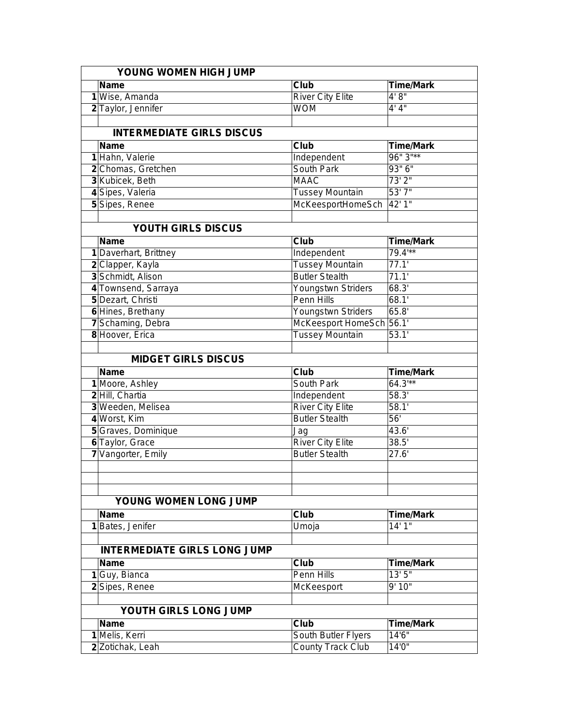| YOUNG WOMEN HIGH JUMP |                                     |                          |                  |  |
|-----------------------|-------------------------------------|--------------------------|------------------|--|
|                       | Name                                | Club                     | <b>Time/Mark</b> |  |
|                       | 1 Wise, Amanda                      | <b>River City Elite</b>  | 4'8''            |  |
|                       | 2 Taylor, Jennifer                  | <b>WOM</b>               | 4' 4''           |  |
|                       |                                     |                          |                  |  |
|                       | <b>INTERMEDIATE GIRLS DISCUS</b>    |                          |                  |  |
|                       | Name                                | <b>Club</b>              | <b>Time/Mark</b> |  |
|                       | 1 Hahn, Valerie                     | Independent              | $96"3"$ **       |  |
|                       | 2 Chomas, Gretchen                  | South Park               | 93"6"            |  |
|                       | 3 Kubicek, Beth                     | <b>MAAC</b>              | 73'2''           |  |
|                       | 4 Sipes, Valeria                    | <b>Tussey Mountain</b>   | 53'7"            |  |
|                       | 5 Sipes, Renee                      | McKeesportHomeSch        | 42' 1"           |  |
|                       |                                     |                          |                  |  |
|                       | YOUTH GIRLS DISCUS                  |                          |                  |  |
|                       | Name                                | Club                     | <b>Time/Mark</b> |  |
|                       | 1 Daverhart, Brittney               | Independent              | $79.4***$        |  |
|                       | 2 Clapper, Kayla                    | Tussey Mountain          | 77.1'            |  |
|                       | 3 Schmidt, Alison                   | <b>Butler Stealth</b>    | 71.1'            |  |
|                       | 4 Townsend, Sarraya                 | Youngstwn Striders       | 68.3'            |  |
|                       | 5 Dezart, Christi                   | Penn Hills               | 68.1'            |  |
|                       | 6 Hines, Brethany                   | Youngstwn Striders       | 65.8'            |  |
|                       | 7 Schaming, Debra                   | McKeesport HomeSch 56.1' |                  |  |
|                       | 8 Hoover, Erica                     | <b>Tussey Mountain</b>   | 53.1'            |  |
|                       |                                     |                          |                  |  |
|                       | <b>MIDGET GIRLS DISCUS</b>          |                          |                  |  |
|                       | <b>Name</b>                         | Club                     | <b>Time/Mark</b> |  |
|                       | 1 Moore, Ashley                     | South Park               | $64.3***$        |  |
|                       | 2 Hill, Chartia                     | Independent              | 58.3'            |  |
|                       | 3 Weeden, Melisea                   | <b>River City Elite</b>  | 58.1'            |  |
|                       | 4 Worst, Kim                        | <b>Butler Stealth</b>    | $\overline{56}$  |  |
|                       | 5 Graves, Dominique                 | Jag                      | 43.6'            |  |
|                       | 6 Taylor, Grace                     | <b>River City Elite</b>  | 38.5'            |  |
|                       | 7 Vangorter, Emily                  | <b>Butler Stealth</b>    | 27.6'            |  |
|                       |                                     |                          |                  |  |
|                       |                                     |                          |                  |  |
|                       |                                     |                          |                  |  |
|                       | YOUNG WOMEN LONG JUMP               |                          |                  |  |
|                       | <b>Name</b>                         | Club                     | <b>Time/Mark</b> |  |
|                       | 1 Bates, Jenifer                    | Umoja                    | 14'1"            |  |
|                       |                                     |                          |                  |  |
|                       | <b>INTERMEDIATE GIRLS LONG JUMP</b> |                          |                  |  |
|                       | Name                                | <b>Club</b>              | Time/Mark        |  |
|                       | 1 Guy, Bianca                       | Penn Hills               | 13'5''           |  |
|                       | 2 Sipes, Renee                      | McKeesport               | 9' 10"           |  |
|                       |                                     |                          |                  |  |
|                       | YOUTH GIRLS LONG JUMP               |                          |                  |  |
|                       | Name                                | <b>Club</b>              | Time/Mark        |  |
|                       | 1 Melis, Kerri                      | South Butler Flyers      | 14'6"            |  |
|                       | 2 Zotichak, Leah                    | <b>County Track Club</b> | 14'0"            |  |
|                       |                                     |                          |                  |  |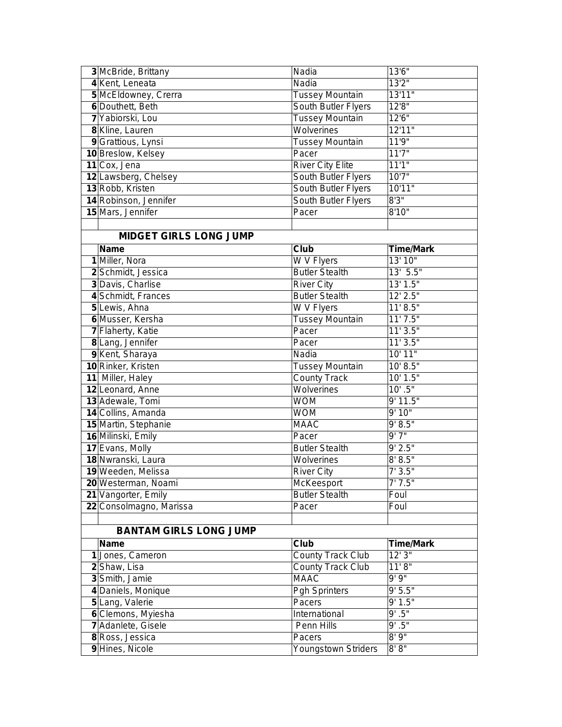| 3 McBride, Brittany           | Nadia                      | 13'6"            |
|-------------------------------|----------------------------|------------------|
| 4 Kent, Leneata               | Nadia                      | 13'2''           |
| 5 McEldowney, Crerra          | <b>Tussey Mountain</b>     | 13'11"           |
| 6 Douthett, Beth              | South Butler Flyers        | 12'8"            |
| 7 Yabiorski, Lou              | <b>Tussey Mountain</b>     | 12'6''           |
| 8 Kline, Lauren               | Wolverines                 | 12'11"           |
| 9 Grattious, Lynsi            | <b>Tussey Mountain</b>     | 11'9''           |
| 10 Breslow, Kelsey            | Pacer                      | 11'7''           |
| 11 Cox, Jena                  | <b>River City Elite</b>    | 11'1"            |
| 12 Lawsberg, Chelsey          | South Butler Flyers        | 10'7''           |
| 13 Robb, Kristen              | South Butler Flyers        | 10'11"           |
| 14 Robinson, Jennifer         | South Butler Flyers        | 8'3''            |
| 15 Mars, Jennifer             | Pacer                      | 8'10"            |
|                               |                            |                  |
| <b>MIDGET GIRLS LONG JUMP</b> |                            |                  |
| <b>Name</b>                   | Club                       | <b>Time/Mark</b> |
| 1 Miller, Nora                | W V Flyers                 | 13' 10"          |
| 2 Schmidt, Jessica            | <b>Butler Stealth</b>      | 13' 5.5"         |
| 3 Davis, Charlise             | <b>River City</b>          | 13' 1.5"         |
| 4 Schmidt, Frances            | <b>Butler Stealth</b>      | $12'$ 2.5"       |
| 5 Lewis, Ahna                 | W V Flyers                 | 11' 8.5"         |
| 6 Musser, Kersha              | <b>Tussey Mountain</b>     | 11'7.5"          |
| 7 Flaherty, Katie             | Pacer                      | 11'3.5"          |
| 8 Lang, Jennifer              | Pacer                      | 11'3.5"          |
| 9 Kent, Sharaya               | Nadia                      | 10' 11"          |
| 10 Rinker, Kristen            | <b>Tussey Mountain</b>     | 10' 8.5"         |
| 11 Miller, Haley              | <b>County Track</b>        | 10' 1.5"         |
| 12 Leonard, Anne              | Wolverines                 | $10'$ .5"        |
| 13 Adewale, Tomi              | <b>WOM</b>                 | 9' 11.5"         |
| 14 Collins, Amanda            | <b>WOM</b>                 | 9'10''           |
| 15 Martin, Stephanie          | <b>MAAC</b>                | 9' 8.5"          |
| 16 Milinski, Emily            | Pacer                      | 9'7''            |
| 17 Evans, Molly               | <b>Butler Stealth</b>      | 9' 2.5"          |
| 18 Nwranski, Laura            | Wolverines                 | 8' 8.5"          |
| 19 Weeden, Melissa            | <b>River City</b>          | 7'3.5''          |
| 20 Westerman, Noami           | McKeesport                 | 7'7.5''          |
| 21 Vangorter, Emily           | <b>Butler Stealth</b>      | Foul             |
| 22 Consolmagno, Marissa       | Pacer                      | Foul             |
|                               |                            |                  |
| <b>BANTAM GIRLS LONG JUMP</b> |                            |                  |
| <b>Name</b>                   | Club                       | <b>Time/Mark</b> |
| 1 Jones, Cameron              | <b>County Track Club</b>   | 12'3''           |
| 2 Shaw, Lisa                  | <b>County Track Club</b>   | 11'8''           |
| 3 Smith, Jamie                | <b>MAAC</b>                | 9'9''            |
| 4 Daniels, Monique            | <b>Pgh Sprinters</b>       | 9' 5.5''         |
| 5 Lang, Valerie               | Pacers                     | 9' 1.5"          |
| 6 Clemons, Myiesha            | International              | 9' .5"           |
| 7 Adanlete, Gisele            | Penn Hills                 | $9'$ .5"         |
| 8 Ross, Jessica               | Pacers                     | 8'9''            |
| 9 Hines, Nicole               | <b>Youngstown Striders</b> | 8' 8"            |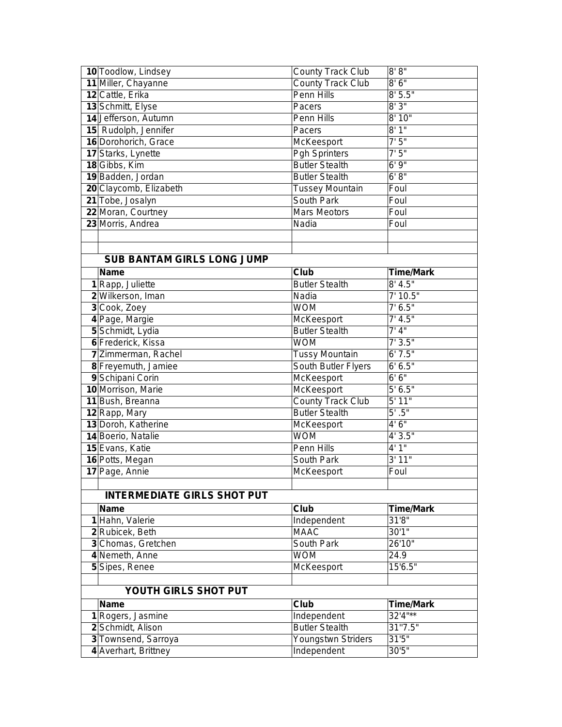| 10 Toodlow, Lindsey                         | <b>County Track Club</b>          | 8' 8''           |
|---------------------------------------------|-----------------------------------|------------------|
| 11 Miller, Chayanne                         | <b>County Track Club</b>          | 8'6''            |
| 12 Cattle, Erika                            | Penn Hills                        | 8'5.5"           |
| 13 Schmitt, Elyse                           | Pacers                            | 8'3''            |
| 14 Jefferson, Autumn                        | Penn Hills                        | 8' 10"           |
| 15 Rudolph, Jennifer                        | Pacers                            | 8'1"             |
| 16 Dorohorich, Grace                        | McKeesport                        | 7'5''            |
| 17 Starks, Lynette                          | <b>Pgh Sprinters</b>              | 7'5''            |
| 18 Gibbs, Kim                               | <b>Butler Stealth</b>             | 6'9''            |
| 19 Badden, Jordan                           | <b>Butler Stealth</b>             | 6' 8''           |
| 20 Claycomb, Elizabeth                      | <b>Tussey Mountain</b>            | Foul             |
| 21 Tobe, Josalyn                            | South Park                        | Foul             |
| 22 Moran, Courtney                          | <b>Mars Meotors</b>               | Foul             |
| 23 Morris, Andrea                           | Nadia                             | Foul             |
|                                             |                                   |                  |
|                                             |                                   |                  |
| <b>SUB BANTAM GIRLS LONG JUMP</b>           |                                   |                  |
| <b>Name</b>                                 | Club                              | <b>Time/Mark</b> |
| 1 Rapp, Juliette                            | <b>Butler Stealth</b>             | $8'$ 4.5"        |
| 2 Wilkerson, Iman                           | Nadia                             | 7' 10.5"         |
| 3 Cook, Zoey                                | <b>WOM</b>                        | 7' 6.5''         |
| 4 Page, Margie                              | McKeesport                        | 7' 4.5''         |
| 5 Schmidt, Lydia                            | <b>Butler Stealth</b>             | 7' 4''           |
| 6 Frederick, Kissa                          | <b>WOM</b>                        | 7'3.5''          |
| 7 Zimmerman, Rachel                         | <b>Tussy Mountain</b>             | 6'7.5''          |
| 8 Freyemuth, Jamiee                         | South Butler Flyers               | 6' 6.5"          |
| 9 Schipani Corin                            | McKeesport                        | 6'6''            |
| 10 Morrison, Marie                          | McKeesport                        | 5' 6.5''         |
| 11 Bush, Breanna                            | <b>County Track Club</b>          | 5' 11"           |
| 12 Rapp, Mary                               | <b>Butler Stealth</b>             | $5'$ .5"         |
| 13 Doroh, Katherine                         | <b>McKeesport</b>                 | 4'6''            |
| 14 Boerio, Natalie                          | <b>WOM</b>                        | 4'3.5''          |
| 15 Evans, Katie                             | <b>Penn Hills</b>                 | 4'1''            |
| 16 Potts, Megan                             | South Park                        | 3' 11"           |
| 17 Page, Annie                              | McKeesport                        | Foul             |
|                                             |                                   |                  |
| <b>INTERMEDIATE GIRLS SHOT PUT</b>          |                                   |                  |
| <b>Name</b>                                 | Club                              | <b>Time/Mark</b> |
| 1 Hahn, Valerie                             | Independent                       | 31'8"            |
| 2 Rubicek, Beth                             | <b>MAAC</b>                       | 30'1"            |
| 3 Chomas, Gretchen                          | South Park                        | 26'10"           |
| 4 Nemeth, Anne                              | <b>WOM</b>                        | 24.9             |
| 5 Sipes, Renee                              | McKeesport                        | 15'6.5"          |
|                                             |                                   |                  |
| YOUTH GIRLS SHOT PUT                        |                                   |                  |
|                                             | Club                              | <b>Time/Mark</b> |
| <b>Name</b>                                 |                                   |                  |
| 1 Rogers, Jasmine                           | Independent                       | $32'4"$ **       |
| 2 Schmidt, Alison                           | <b>Butler Stealth</b>             | 31"7.5"          |
| 3 Townsend, Sarroya<br>4 Averhart, Brittney | Youngstwn Striders<br>Independent | 31'5''<br>30'5"  |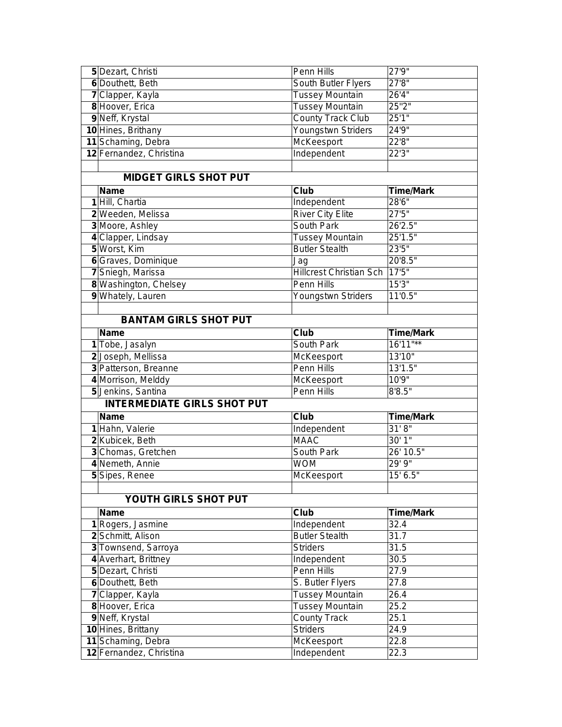| 5 Dezart, Christi                        | Penn Hills                     | 27'9''           |
|------------------------------------------|--------------------------------|------------------|
| 6 Douthett, Beth                         | South Butler Flyers            | 27'8''           |
| 7 Clapper, Kayla                         | <b>Tussey Mountain</b>         | 26'4"            |
| 8 Hoover, Erica                          | <b>Tussey Mountain</b>         | 25"2"            |
| 9 Neff, Krystal                          | <b>County Track Club</b>       | 25'1''           |
| 10 Hines, Brithany                       | Youngstwn Striders             | 24'9"            |
| 11 Schaming, Debra                       | McKeesport                     | 22'8''           |
| 12 Fernandez, Christina                  | Independent                    | 22'3''           |
|                                          |                                |                  |
| <b>MIDGET GIRLS SHOT PUT</b>             |                                |                  |
| <b>Name</b>                              | <b>Club</b>                    | <b>Time/Mark</b> |
| 1 Hill, Chartia                          | Independent                    | 28'6"            |
| 2 Weeden, Melissa                        | <b>River City Elite</b>        | 27'5''           |
| 3 Moore, Ashley                          | South Park                     | 26'2.5"          |
| 4 Clapper, Lindsay                       | <b>Tussey Mountain</b>         | 25'1.5"          |
| 5 Worst, Kim                             | <b>Butler Stealth</b>          | 23'5"            |
| 6 Graves, Dominique                      | Jag                            | 20'8.5"          |
| 7 Sniegh, Marissa                        | <b>Hillcrest Christian Sch</b> | 17'5''           |
| 8 Washington, Chelsey                    | Penn Hills                     | 15'3''           |
| 9 Whately, Lauren                        | Youngstwn Striders             | 11'0.5"          |
|                                          |                                |                  |
| <b>BANTAM GIRLS SHOT PUT</b>             |                                |                  |
| <b>Name</b>                              | Club                           | <b>Time/Mark</b> |
| 1 Tobe, Jasalyn                          | South Park                     | 16'11"**         |
| 2 Joseph, Mellissa                       | McKeesport                     | 13'10"           |
| 3 Patterson, Breanne                     | Penn Hills                     | 13'1.5"          |
| 4 Morrison, Melddy                       | McKeesport                     | 10'9"            |
|                                          |                                |                  |
|                                          |                                |                  |
| 5 Jenkins, Santina                       | Penn Hills                     | 8'8.5''          |
| <b>INTERMEDIATE GIRLS SHOT PUT</b>       |                                |                  |
| <b>Name</b>                              | Club                           | <b>Time/Mark</b> |
| 1 Hahn, Valerie                          | Independent                    | 31' 8''          |
| 2Kubicek, Beth                           | <b>MAAC</b>                    | 30'1''           |
| 3 Chomas, Gretchen                       | South Park                     | 26' 10.5"        |
| 4 Nemeth, Annie                          | <b>WOM</b>                     | 29'9''           |
| 5 Sipes, Renee                           | McKeesport                     | 15' 6.5"         |
|                                          |                                |                  |
| YOUTH GIRLS SHOT PUT                     |                                |                  |
| <b>Name</b>                              | <b>Club</b>                    | <b>Time/Mark</b> |
| 1 Rogers, Jasmine                        | Independent                    | 32.4             |
| 2 Schmitt, Alison                        | <b>Butler Stealth</b>          | 31.7             |
| 3 Townsend, Sarroya                      | <b>Striders</b>                | 31.5             |
| 4 Averhart, Brittney                     | Independent                    | 30.5             |
| 5 Dezart, Christi                        | Penn Hills                     | 27.9             |
| 6 Douthett, Beth                         | S. Butler Flyers               | 27.8             |
| 7 Clapper, Kayla                         | <b>Tussey Mountain</b>         | 26.4             |
| 8 Hoover, Erica                          | <b>Tussey Mountain</b>         | 25.2             |
| 9 Neff, Krystal                          | <b>County Track</b>            | 25.1             |
| 10 Hines, Brittany<br>11 Schaming, Debra | <b>Striders</b><br>McKeesport  | 24.9<br>22.8     |